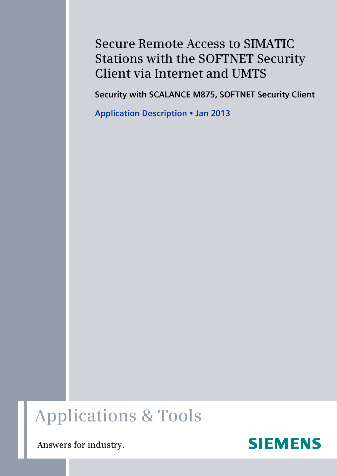# **Secure Remote Access to SIMATIC Stations with the SOFTNET Security Client via Internet and UMTS**

**Security with SCALANCE M875, SOFTNET Security Client**

**Application Description** y **Jan 2013**

# **Applications & Tools**

**Answers for industry.** 

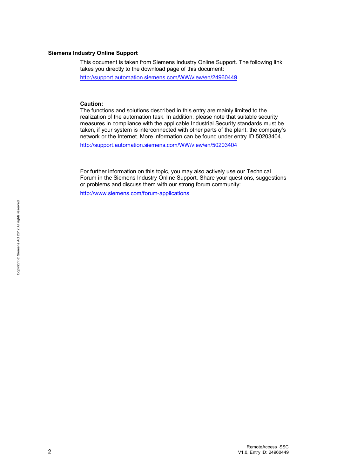#### **Siemens Industry Online Support**

This document is taken from Siemens Industry Online Support. The following link takes you directly to the download page of this document:

<http://support.automation.siemens.com/WW/view/en/24960449>

#### **Caution:**

The functions and solutions described in this entry are mainly limited to the realization of the automation task. In addition, please note that suitable security measures in compliance with the applicable Industrial Security standards must be taken, if your system is interconnected with other parts of the plant, the company's network or the Internet. More information can be found under entry ID 50203404. <http://support.automation.siemens.com/WW/view/en/50203404>

For further information on this topic, you may also actively use our Technical Forum in the Siemens Industry Online Support. Share your questions, suggestions or problems and discuss them with our strong forum community:

<http://www.siemens.com/forum-applications>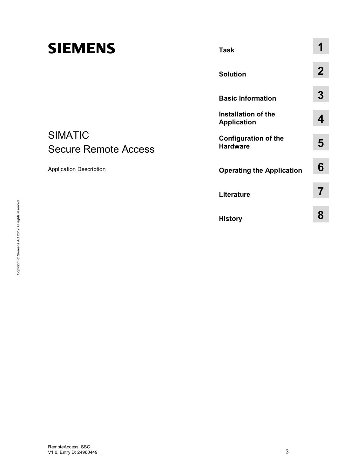# SIEMENS<br>
SIMATIC<br>
Secure Remote<br>
Application Description<br>
a<br>
Entries<br>
Entries<br>
Establed served secure the processed served in the security of the security of the security of the security of the security of the security of

SIMATIC

Application Description

Secure Remote Access

| <b>Task</b>                                    |   |
|------------------------------------------------|---|
| <b>Solution</b>                                | 2 |
| <b>Basic Information</b>                       | 3 |
| Installation of the<br><b>Application</b>      | 4 |
| <b>Configuration of the</b><br><b>Hardware</b> | 5 |
| <b>Operating the Application</b>               | 6 |
| Literature                                     |   |
| <b>History</b>                                 | 8 |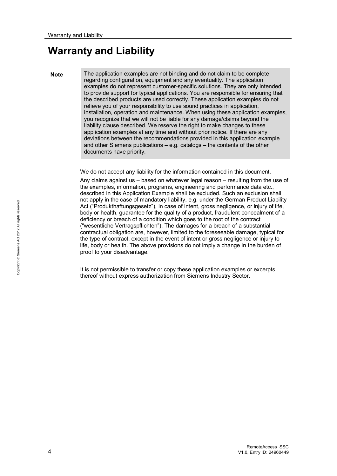# <span id="page-3-0"></span>**Warranty and Liability**

**Note** The application examples are not binding and do not claim to be complete regarding configuration, equipment and any eventuality. The application examples do not represent customer-specific solutions. They are only intended to provide support for typical applications. You are responsible for ensuring that the described products are used correctly. These application examples do not relieve you of your responsibility to use sound practices in application, installation, operation and maintenance. When using these application examples, you recognize that we will not be liable for any damage/claims beyond the liability clause described. We reserve the right to make changes to these application examples at any time and without prior notice. If there are any deviations between the recommendations provided in this application example and other Siemens publications – e.g. catalogs – the contents of the other documents have priority.

We do not accept any liability for the information contained in this document.

Any claims against us – based on whatever legal reason – resulting from the use of the examples, information, programs, engineering and performance data etc., described in this Application Example shall be excluded. Such an exclusion shall not apply in the case of mandatory liability, e.g. under the German Product Liability Act ("Produkthaftungsgesetz"), in case of intent, gross negligence, or injury of life, body or health, guarantee for the quality of a product, fraudulent concealment of a deficiency or breach of a condition which goes to the root of the contract ("wesentliche Vertragspflichten"). The damages for a breach of a substantial contractual obligation are, however, limited to the foreseeable damage, typical for the type of contract, except in the event of intent or gross negligence or injury to life, body or health. The above provisions do not imply a change in the burden of proof to your disadvantage.

It is not permissible to transfer or copy these application examples or excerpts thereof without express authorization from Siemens Industry Sector.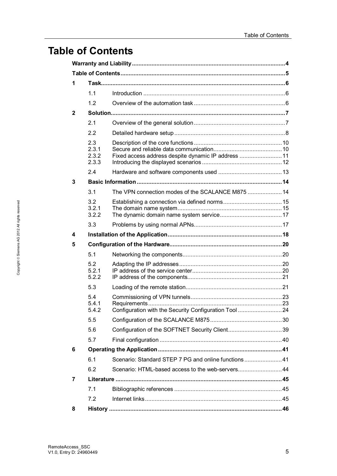# <span id="page-4-0"></span>**Table of Contents**

| 1            |                                |                                                       |  |
|--------------|--------------------------------|-------------------------------------------------------|--|
|              | 1.1                            |                                                       |  |
|              | 1.2                            |                                                       |  |
| $\mathbf{2}$ |                                |                                                       |  |
|              | 2.1                            |                                                       |  |
|              | 2.2                            |                                                       |  |
|              | 2.3<br>2.3.1<br>2.3.2<br>2.3.3 | Fixed access address despite dynamic IP address  11   |  |
|              | 24                             |                                                       |  |
| 3            |                                |                                                       |  |
|              | 3.1                            | The VPN connection modes of the SCALANCE M875  14     |  |
|              | 3.2<br>3.2.1<br>3.2.2          |                                                       |  |
|              | 3.3                            |                                                       |  |
| 4            |                                |                                                       |  |
| 5            |                                |                                                       |  |
|              | 5.1                            |                                                       |  |
|              | 5.2<br>5.2.1<br>5.2.2          |                                                       |  |
|              | 5.3                            |                                                       |  |
|              | 5.4<br>5.4.1<br>5.4.2          | Configuration with the Security Configuration Tool 24 |  |
|              | 5.5                            |                                                       |  |
|              | 5.6                            | Configuration of the SOFTNET Security Client39        |  |
|              | 5.7                            |                                                       |  |
| 6            |                                |                                                       |  |
|              | 6.1                            | Scenario: Standard STEP 7 PG and online functions 41  |  |
|              | 6.2                            | Scenario: HTML-based access to the web-servers44      |  |
| 7            |                                |                                                       |  |
|              | 7.1                            |                                                       |  |
|              | 7.2                            |                                                       |  |
| 8            |                                |                                                       |  |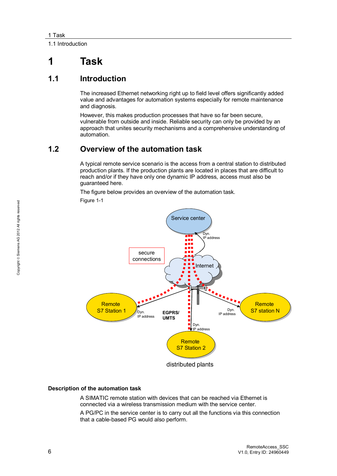1.1 Introduction

# <span id="page-5-0"></span>**1 Task**

# **1.1 Introduction**

<span id="page-5-1"></span>The increased Ethernet networking right up to field level offers significantly added value and advantages for automation systems especially for remote maintenance and diagnosis.

However, this makes production processes that have so far been secure, vulnerable from outside and inside. Reliable security can only be provided by an approach that unites security mechanisms and a comprehensive understanding of automation.

# **1.2 Overview of the automation task**

<span id="page-5-2"></span>A typical remote service scenario is the access from a central station to distributed production plants. If the production plants are located in places that are difficult to reach and/or if they have only one dynamic IP address, access must also be guaranteed here.

The figure below provides an overview of the automation task.

Figure 1-1



#### **Description of the automation task**

A SIMATIC remote station with devices that can be reached via Ethernet is connected via a wireless transmission medium with the service center.

A PG/PC in the service center is to carry out all the functions via this connection that a cable-based PG would also perform.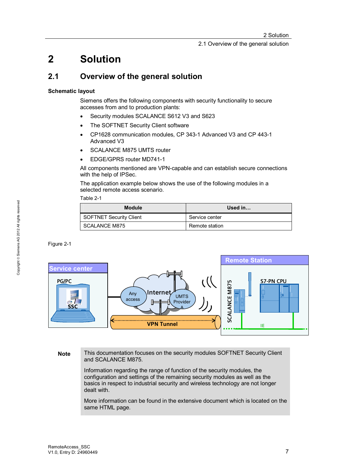2.1 Overview of the general solution

# <span id="page-6-0"></span>**2 Solution**

# **2.1 Overview of the general solution**

#### **Schematic layout**

<span id="page-6-1"></span>Siemens offers the following components with security functionality to secure accesses from and to production plants:

- Security modules SCALANCE S612 V3 and S623
- The SOFTNET Security Client software
- x CP1628 communication modules, CP 343-1 Advanced V3 and CP 443-1 Advanced V3
- SCALANCE M875 UMTS router
- EDGE/GPRS router MD741-1

All components mentioned are VPN-capable and can establish secure connections with the help of IPSec.

The application example below shows the use of the following modules in a selected remote access scenario.

Table 2-1

| <b>Module</b>                  | Used in        |
|--------------------------------|----------------|
| <b>SOFTNET Security Client</b> | Service center |
| <b>SCALANCE M875</b>           | Remote station |

Figure 2-1



**Note** This documentation focuses on the security modules SOFTNET Security Client and SCALANCE M875.

> Information regarding the range of function of the security modules, the configuration and settings of the remaining security modules as well as the basics in respect to industrial security and wireless technology are not longer dealt with.

More information can be found in the extensive document which is located on the same HTML page.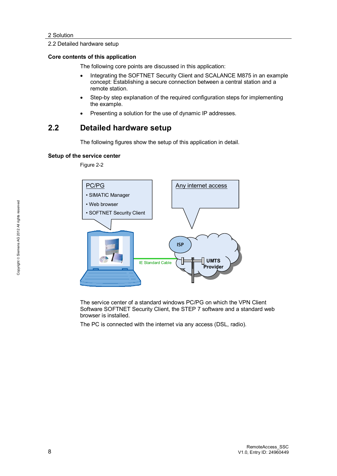#### 2.2 Detailed hardware setup

#### **Core contents of this application**

The following core points are discussed in this application:

- Integrating the SOFTNET Security Client and SCALANCE M875 in an example concept: Establishing a secure connection between a central station and a remote station.
- Step-by step explanation of the required configuration steps for implementing the example.
- Presenting a solution for the use of dynamic IP addresses.

# **2.2 Detailed hardware setup**

<span id="page-7-0"></span>The following figures show the setup of this application in detail.

#### **Setup of the service center**

Figure 2-2



The service center of a standard windows PC/PG on which the VPN Client Software SOFTNET Security Client, the STEP 7 software and a standard web browser is installed.

The PC is connected with the internet via any access (DSL, radio).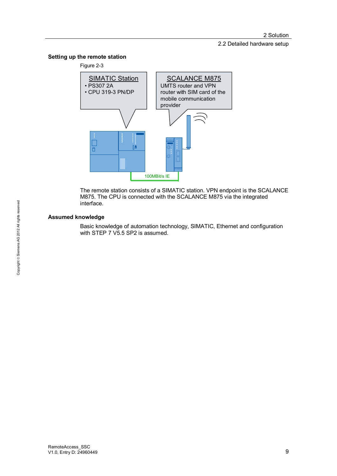#### 2.2 Detailed hardware setup

#### **Setting up the remote station**



The remote station consists of a SIMATIC station. VPN endpoint is the SCALANCE M875. The CPU is connected with the SCALANCE M875 via the integrated interface.

#### **Assumed knowledge**

Basic knowledge of automation technology, SIMATIC, Ethernet and configuration with STEP 7 V5.5 SP2 is assumed.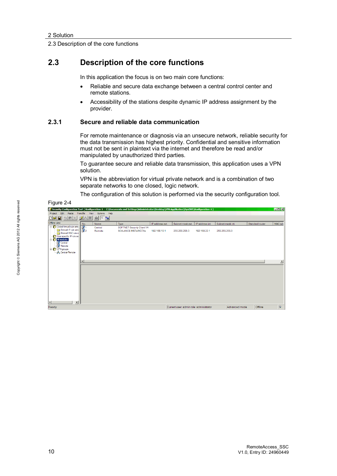2.3 Description of the core functions

# **2.3 Description of the core functions**

<span id="page-9-0"></span>In this application the focus is on two main core functions:

- Reliable and secure data exchange between a central control center and remote stations.
- Accessibility of the stations despite dynamic IP address assignment by the provider.

#### **2.3.1 Secure and reliable data communication**

<span id="page-9-1"></span>For remote maintenance or diagnosis via an unsecure network, reliable security for the data transmission has highest priority. Confidential and sensitive information must not be sent in plaintext via the internet and therefore be read and/or manipulated by unauthorized third parties.

To guarantee secure and reliable data transmission, this application uses a VPN solution.

VPN is the abbreviation for virtual private network and is a combination of two separate networks to one closed, logic network.

The configuration of this solution is performed via the security configuration tool.

| Figure 2-4                                                                                                                                                                                      |                             |                   |                                                                                                                                               |                 |                                         |                 |                  |               |                 |                       |
|-------------------------------------------------------------------------------------------------------------------------------------------------------------------------------------------------|-----------------------------|-------------------|-----------------------------------------------------------------------------------------------------------------------------------------------|-----------------|-----------------------------------------|-----------------|------------------|---------------|-----------------|-----------------------|
|                                                                                                                                                                                                 |                             |                   | [2] Security Configuration Tool [ Konfiguration-1 -- C:\Documents and Settings\Administrator\Desktop\VPN Applikation\DynDNS\Konfiguration-1 ] |                 |                                         |                 |                  |               |                 | EDX                   |
| Edit<br>Paste Transfer<br>Project                                                                                                                                                               | View                        | Help<br>Options   |                                                                                                                                               |                 |                                         |                 |                  |               |                 |                       |
| $D \nvert \mathbf{E} \rvert \nvert \mathbf{E} \rvert \nvert \mathbf{E} \rvert \times \rvert$                                                                                                    |                             | 941               |                                                                                                                                               |                 |                                         |                 |                  |               |                 |                       |
| Offline view                                                                                                                                                                                    | No.                         | Name              | Type                                                                                                                                          | IP address ext. | Subnet mask ext.                        | IP address int. | Subnet mask int. |               | Standard router | MAC add               |
| <b>E</b> Global firewall rule sets<br>Firewall IP rule sets<br>Firewall MAC rule s<br>User-specific IP rule se<br><b>E</b> All modules<br>Central<br>Strandte<br>O VPN groups<br>Central-Remote | $\overline{\mathbb{B}^1_2}$ | Central<br>Remote | SOFTNET Security Client V4<br>SCALANCE M87x/MD74x                                                                                             | 192.168.10.1    | 255.255.255.0                           | 192.168.22.1    | 255.255.255.0    |               |                 |                       |
|                                                                                                                                                                                                 | ⊣                           |                   |                                                                                                                                               |                 |                                         |                 |                  |               |                 | $\blacktriangleright$ |
| $\vert \cdot \vert$<br>$\vert \cdot \vert$                                                                                                                                                      |                             |                   |                                                                                                                                               |                 |                                         |                 |                  |               |                 |                       |
| Ready                                                                                                                                                                                           |                             |                   |                                                                                                                                               |                 | Current user: admin role: administrator |                 |                  | Advanced mode | Offline         | ۱g                    |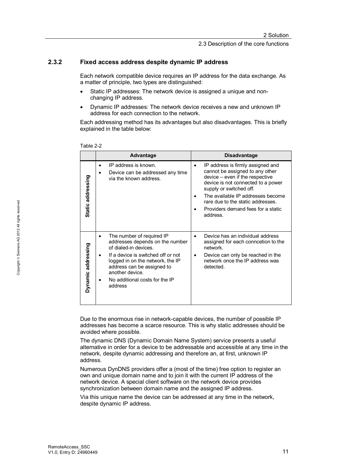#### 2.3 Description of the core functions

#### **2.3.2 Fixed access address despite dynamic IP address**

<span id="page-10-0"></span>Each network compatible device requires an IP address for the data exchange. As a matter of principle, two types are distinguished:

- Static IP addresses: The network device is assigned a unique and nonchanging IP address.
- Dynamic IP addresses: The network device receives a new and unknown IP address for each connection to the network.

Each addressing method has its advantages but also disadvantages. This is briefly explained in the table below:

|                    | Advantage                                                                                                                                                                                                                                                                                    | <b>Disadvantage</b>                                                                                                                                                                                                                                                                                               |
|--------------------|----------------------------------------------------------------------------------------------------------------------------------------------------------------------------------------------------------------------------------------------------------------------------------------------|-------------------------------------------------------------------------------------------------------------------------------------------------------------------------------------------------------------------------------------------------------------------------------------------------------------------|
| Static addressing  | IP address is known.<br>$\bullet$<br>Device can be addressed any time<br>via the known address.                                                                                                                                                                                              | IP address is firmly assigned and<br>$\bullet$<br>cannot be assigned to any other<br>device - even if the respective<br>device is not connected to a power<br>supply or switched off.<br>The available IP addresses become<br>rare due to the static addresses.<br>Providers demand fees for a static<br>address. |
| Dynamic addressing | The number of required IP<br>$\bullet$<br>addresses depends on the number<br>of dialed-in devices.<br>If a device is switched off or not<br>٠<br>logged in on the network, the IP<br>address can be assigned to<br>another device.<br>No additional costs for the IP<br>$\bullet$<br>address | Device has an individual address<br>$\bullet$<br>assigned for each conncetion to the<br>network.<br>Device can only be reached in the<br>٠<br>network once the IP address was<br>detected.                                                                                                                        |

| Table 2-2 |  |  |
|-----------|--|--|
|-----------|--|--|

Due to the enormous rise in network-capable devices, the number of possible IP addresses has become a scarce resource. This is why static addresses should be avoided where possible.

The dynamic DNS (Dynamic Domain Name System) service presents a useful alternative in order for a device to be addressable and accessible at any time in the network, despite dynamic addressing and therefore an, at first, unknown IP address.

Numerous DynDNS providers offer a (most of the time) free option to register an own and unique domain name and to join it with the current IP address of the network device. A special client software on the network device provides synchronization between domain name and the assigned IP address.

Via this unique name the device can be addressed at any time in the network, despite dynamic IP address.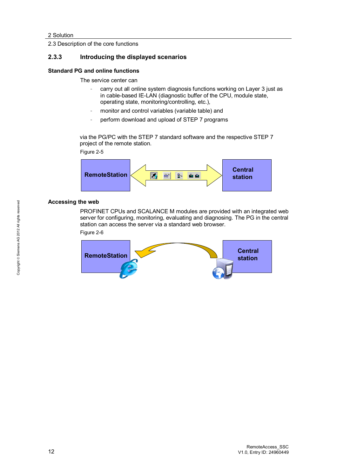2.3 Description of the core functions

#### **2.3.3 Introducing the displayed scenarios**

#### **Standard PG and online functions**

<span id="page-11-0"></span>The service center can

- carry out all online system diagnosis functions working on Layer 3 just as in cable-based IE-LAN (diagnostic buffer of the CPU, module state, operating state, monitoring/controlling, etc.),
- monitor and control variables (variable table) and
- perform download and upload of STEP 7 programs

via the PG/PC with the STEP 7 standard software and the respective STEP 7 project of the remote station.

Figure 2-5



#### **Accessing the web**

PROFINET CPUs and SCALANCE M modules are provided with an integrated web server for configuring, monitoring, evaluating and diagnosing. The PG in the central station can access the server via a standard web browser.

Figure 2-6

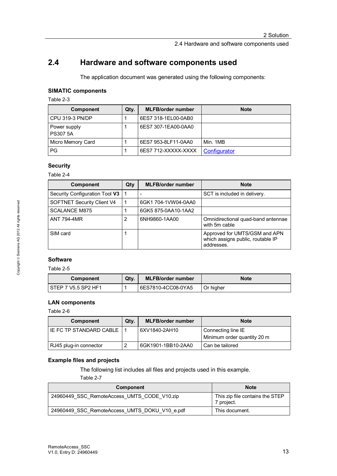2.4 Hardware and software components used

# **2.4 Hardware and software components used**

<span id="page-12-0"></span>The application document was generated using the following components:

#### **SIMATIC components**

Table 2-3

| <b>Component</b>                | Qty. | <b>MLFB/order number</b> | <b>Note</b>  |
|---------------------------------|------|--------------------------|--------------|
| CPU 319-3 PN/DP                 |      | 6ES7 318-1EL00-0AB0      |              |
| Power supply<br><b>PS307 5A</b> |      | 6ES7 307-1EA00-0AA0      |              |
| Micro Memory Card               |      | 6ES7 953-8LF11-0AA0      | Min. 1MB     |
| <b>PG</b>                       |      | 6ES7 712-XXXXX-XXXX      | Configurator |

#### **Security**

Table 2-4

| Component                         | Qty | <b>MLFB/order number</b> | <b>Note</b>                                                                      |
|-----------------------------------|-----|--------------------------|----------------------------------------------------------------------------------|
| Security Configuration Tool V3    | 1   |                          | SCT is included in delivery.                                                     |
| <b>SOFTNET Security Client V4</b> | 1   | 6GK1 704-1VW04-0AA0      |                                                                                  |
| <b>SCALANCE M875</b>              |     | 6GK5 875-0AA10-1AA2      |                                                                                  |
| <b>ANT 794-4MR</b>                | 2   | 6NH9860-1AA00            | Omnidirectional quad-band antennae<br>with 5m cable                              |
| SIM card                          |     |                          | Approved for UMTS/GSM and APN<br>which assigns public, routable IP<br>addresses. |

## **Software**

Table 2-5

| Component           | Qty. | <b>MLFB/order number</b> | <b>Note</b> |
|---------------------|------|--------------------------|-------------|
| STEP 7 V5.5 SP2 HF1 |      | 6ES7810-4CC08-0YA5       | Or higher   |

#### **LAN components**

Table 2-6

| Qty.<br>Component          |  | <b>MLFB/order number</b> | <b>Note</b>                                       |
|----------------------------|--|--------------------------|---------------------------------------------------|
| IE FC TP STANDARD CABLE 11 |  | l 6XV1840-2AH10          | Connecting line IE<br>Minimum order quantity 20 m |
| RJ45 plug-in connector     |  | 6GK1901-1BB10-2AA0       | Can be tailored                                   |

#### **Example files and projects**

The following list includes all files and projects used in this example.

Table 2-7

| <b>Component</b>                              | <b>Note</b>                                   |
|-----------------------------------------------|-----------------------------------------------|
| 24960449 SSC RemoteAccess UMTS CODE V10.zip   | This zip file contains the STEP<br>7 project. |
| 24960449 SSC RemoteAccess UMTS DOKU V10 e.pdf | This document.                                |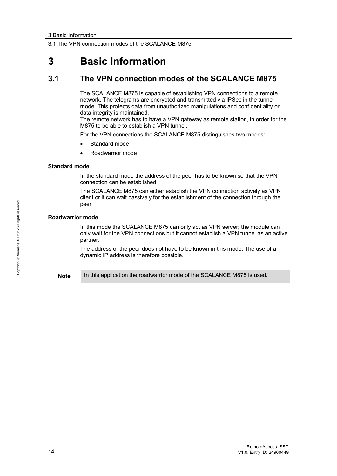3.1 The VPN connection modes of the SCALANCE M875

# <span id="page-13-0"></span>**3 Basic Information**

# **3.1 The VPN connection modes of the SCALANCE M875**

<span id="page-13-1"></span>The SCALANCE M875 is capable of establishing VPN connections to a remote network. The telegrams are encrypted and transmitted via IPSec in the tunnel mode. This protects data from unauthorized manipulations and confidentiality or data integrity is maintained.

The remote network has to have a VPN gateway as remote station, in order for the M875 to be able to establish a VPN tunnel.

For the VPN connections the SCALANCE M875 distinguishes two modes:

- Standard mode
- Roadwarrior mode

#### **Standard mode**

In the standard mode the address of the peer has to be known so that the VPN connection can be established.

The SCALANCE M875 can either establish the VPN connection actively as VPN client or it can wait passively for the establishment of the connection through the peer.

#### **Roadwarrior mode**

In this mode the SCALANCE M875 can only act as VPN server; the module can only wait for the VPN connections but it cannot establish a VPN tunnel as an active partner.

The address of the peer does not have to be known in this mode. The use of a dynamic IP address is therefore possible.

Note In this application the roadwarrior mode of the SCALANCE M875 is used.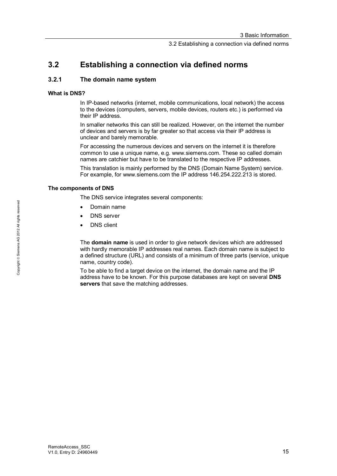# <span id="page-14-0"></span>**3.2 Establishing a connection via defined norms**

#### **3.2.1 The domain name system**

#### **What is DNS?**

<span id="page-14-1"></span>In IP-based networks (internet, mobile communications, local network) the access to the devices (computers, servers, mobile devices, routers etc.) is performed via their IP address.

In smaller networks this can still be realized. However, on the internet the number of devices and servers is by far greater so that access via their IP address is unclear and barely memorable.

For accessing the numerous devices and servers on the internet it is therefore common to use a unique name, e.g. www.siemens.com. These so called domain names are catchier but have to be translated to the respective IP addresses.

This translation is mainly performed by the DNS (Domain Name System) service. For example, for www.siemens.com the IP address 146.254.222.213 is stored.

#### **The components of DNS**

The DNS service integrates several components:

- Domain name
- DNS server
- DNS client

The **domain name** is used in order to give network devices which are addressed with hardly memorable IP addresses real names. Each domain name is subject to a defined structure (URL) and consists of a minimum of three parts (service, unique name, country code).

To be able to find a target device on the internet, the domain name and the IP address have to be known. For this purpose databases are kept on several **DNS servers** that save the matching addresses.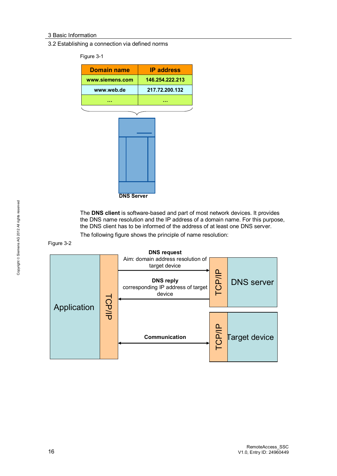3.2 Establishing a connection via defined norms

Figure 3-1

| <b>Domain name</b> | <b>IP</b> address |
|--------------------|-------------------|
| www.siemens.com    | 146.254.222.213   |
| www.web.de         | 217.72.200.132    |
|                    |                   |



The **DNS client** is software-based and part of most network devices. It provides the DNS name resolution and the IP address of a domain name. For this purpose, the DNS client has to be informed of the address of at least one DNS server.

The following figure shows the principle of name resolution:

Figure 3-2

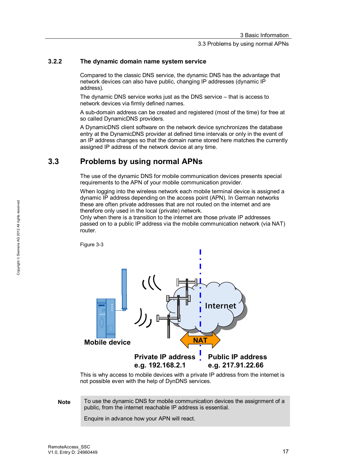#### 3.3 Problems by using normal APNs

#### **3.2.2 The dynamic domain name system service**

<span id="page-16-0"></span>Compared to the classic DNS service, the dynamic DNS has the advantage that network devices can also have public, changing IP addresses (dynamic IP address).

The dynamic DNS service works just as the DNS service – that is access to network devices via firmly defined names.

A sub-domain address can be created and registered (most of the time) for free at so called DynamicDNS providers.

A DynamicDNS client software on the network device synchronizes the database entry at the DynamicDNS provider at defined time intervals or only in the event of an IP address changes so that the domain name stored here matches the currently assigned IP address of the network device at any time.

## **3.3 Problems by using normal APNs**

<span id="page-16-1"></span>The use of the dynamic DNS for mobile communication devices presents special requirements to the APN of your mobile communication provider.

When logging into the wireless network each mobile terminal device is assigned a dynamic IP address depending on the access point (APN). In German networks these are often private addresses that are not routed on the internet and are therefore only used in the local (private) network.

Only when there is a transition to the internet are those private IP addresses passed on to a public IP address via the mobile communication network (via NAT) router.



This is why access to mobile devices with a private IP address from the internet is not possible even with the help of DynDNS services.

**Note** To use the dynamic DNS for mobile communication devices the assignment of a public, from the internet reachable IP address is essential.

Enquire in advance how your APN will react.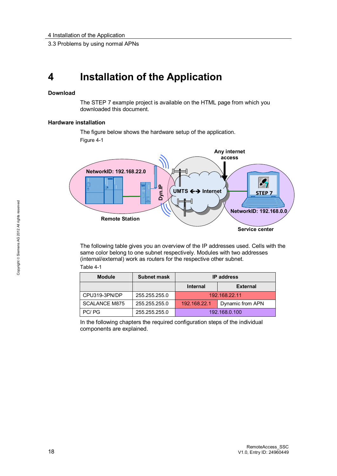3.3 Problems by using normal APNs

# **4 Installation of the Application**

#### **Download**

<span id="page-17-0"></span>The STEP 7 example project is available on the HTML page from which you downloaded this document.

#### **Hardware installation**

The figure below shows the hardware setup of the application. Figure 4-1



The following table gives you an overview of the IP addresses used. Cells with the same color belong to one subnet respectively. Modules with two addresses (internal/external) work as routers for the respective other subnet. Table 4-1

<span id="page-17-1"></span>

| <b>Module</b>        | <b>Subnet mask</b> | <b>IP</b> address                  |  |
|----------------------|--------------------|------------------------------------|--|
|                      |                    | <b>Internal</b><br><b>External</b> |  |
| CPU319-3PN/DP        | 255.255.255.0      | 192.168.22.11                      |  |
| <b>SCALANCE M875</b> | 255.255.255.0      | Dynamic from APN<br>192.168.22.1   |  |
| PC/PG                | 255.255.255.0      | 192.168.0.100                      |  |

In the following chapters the required configuration steps of the individual components are explained.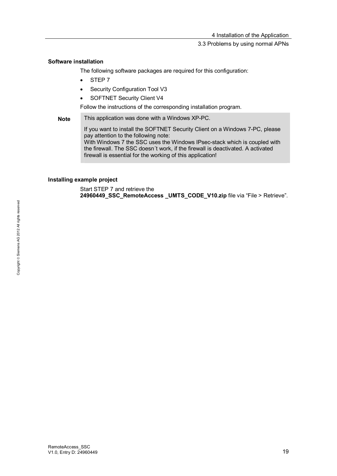#### 3.3 Problems by using normal APNs

#### **Software installation**

The following software packages are required for this configuration:

- $\cdot$  STEP 7
- Security Configuration Tool V3
- SOFTNET Security Client V4

Follow the instructions of the corresponding installation program.

**Note** This application was done with a Windows XP-PC.

If you want to install the SOFTNET Security Client on a Windows 7-PC, please pay attention to the following note: With Windows 7 the SSC uses the Windows IPsec-stack which is coupled with the firewall. The SSC doesn´t work, if the firewall is deactivated. A activated firewall is essential for the working of this application!

#### **Installing example project**

Start STEP 7 and retrieve the 24960449 SSC RemoteAccess UMTS CODE V10.zip file via "File > Retrieve".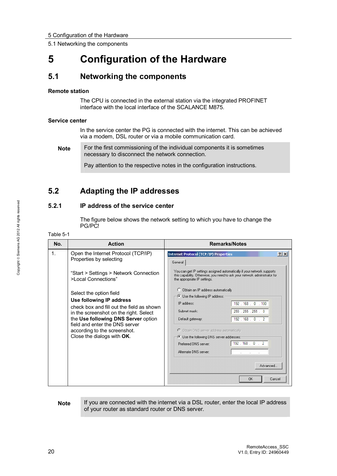5.1 Networking the components

# <span id="page-19-0"></span>**5 Configuration of the Hardware**

# **5.1 Networking the components**

#### **Remote station**

<span id="page-19-1"></span>The CPU is connected in the external station via the integrated PROFINET interface with the local interface of the SCALANCE M875.

#### **Service center**

In the service center the PG is connected with the internet. This can be achieved via a modem, DSL router or via a mobile communication card.

**Note** For the first commissioning of the individual components it is sometimes necessary to disconnect the network connection.

<span id="page-19-2"></span>Pay attention to the respective notes in the configuration instructions.

# **5.2 Adapting the IP addresses**

#### **5.2.1 IP address of the service center**

<span id="page-19-3"></span>The figure below shows the network setting to which you have to change the PG/PC!

Table 5-1

| No.           | Action                                                                                                                                                                                                                                                                                                                                                                                                               | <b>Remarks/Notes</b>                                                                                                                                                                                                                                                                                                                                                                                                                                                                                                                                                                                            |  |  |
|---------------|----------------------------------------------------------------------------------------------------------------------------------------------------------------------------------------------------------------------------------------------------------------------------------------------------------------------------------------------------------------------------------------------------------------------|-----------------------------------------------------------------------------------------------------------------------------------------------------------------------------------------------------------------------------------------------------------------------------------------------------------------------------------------------------------------------------------------------------------------------------------------------------------------------------------------------------------------------------------------------------------------------------------------------------------------|--|--|
| $\mathbf 1$ . | Open the Internet Protocol (TCP/IP)<br>Properties by selecting<br>"Start > Settings > Network Connection<br>>Local Connections"<br>Select the option field<br>Use following IP address<br>check box and fill out the field as shown<br>in the screenshot on the right. Select<br>the Use following DNS Server option<br>field and enter the DNS server<br>according to the screenshot.<br>Close the dialogs with OK. | ? x <br><b>Internet Protocol (TCP/IP) Properties</b><br>General<br>You can get IP settings assigned automatically if your network supports<br>this capability. Otherwise, you need to ask your network administrator for<br>the appropriate IP settings.<br>Obtain an IP address automatically<br>Use the following IP address:<br>IP address:<br>192.168.0.100<br>255 . 255 . 255 . 0<br>Subnet mask:<br>192.168.0.2<br>Default gateway:<br>O Obtain DNS server address automatically<br>○ Use the following DNS server addresses:<br>192.168.0.2<br>Preferred DNS server:<br>Alternate DNS server<br>Advanced |  |  |
|               |                                                                                                                                                                                                                                                                                                                                                                                                                      | OK<br>Cancel                                                                                                                                                                                                                                                                                                                                                                                                                                                                                                                                                                                                    |  |  |

Note If you are connected with the internet via a DSL router, enter the local IP address of your router as standard router or DNS server.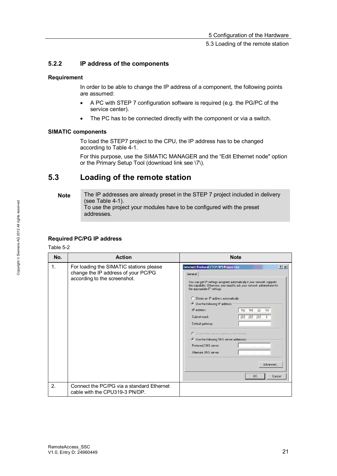5.3 Loading of the remote station

#### **5.2.2 IP address of the components**

#### **Requirement**

<span id="page-20-0"></span>In order to be able to change the IP address of a component, the following points are assumed:

- A PC with STEP 7 configuration software is required (e.g. the PG/PC of the service center).
- The PC has to be connected directly with the component or via a switch.

#### **SIMATIC components**

To load the STEP7 project to the CPU, the IP address has to be changed according to [Table 4-1.](#page-17-1)

<span id="page-20-1"></span>For this purpose, use the SIMATIC MANAGER and the "Edit Ethernet node" option or the Primary Setup Tool (download link see \7\).

# **5.3 Loading of the remote station**

**Note** The IP addresses are already preset in the STEP 7 project included in delivery (see [Table 4-1\)](#page-17-1). To use the project your modules have to be configured with the preset addresses.

#### **Required PC/PG IP address**

#### Table 5-2

| No. | <b>Action</b>                                                                                                  | <b>Note</b>                                                                                                                                                                                                                                                                                                                                                                                                                                                                                                                                                                                                                                |
|-----|----------------------------------------------------------------------------------------------------------------|--------------------------------------------------------------------------------------------------------------------------------------------------------------------------------------------------------------------------------------------------------------------------------------------------------------------------------------------------------------------------------------------------------------------------------------------------------------------------------------------------------------------------------------------------------------------------------------------------------------------------------------------|
| 1.  | For loading the SIMATIC stations please<br>change the IP address of your PC/PG<br>according to the screenshot. | ? X <br><b>Internet Protocol (TCP/IP) Properties</b><br>General<br>You can get IP settings assigned automatically if your network supports<br>this capability. Otherwise, you need to ask your network administrator for<br>the appropriate IP settings.<br>C Obtain an IP address automatically<br>$-\bullet$ Use the following IP address:<br>IP address:<br>192 . 168 . 22 . 100<br>Subnet mask:<br>255 . 255 . 255 . 0<br>Default gateway:<br>C Obtain DNS server address automatically<br>- C Use the following DNS server addresses:-<br>Preferred DNS server:<br>$\sim$<br>Alternate DNS server:<br>Advanced<br><b>OK</b><br>Cancel |
| 2.  | Connect the PC/PG via a standard Ethernet<br>cable with the CPU319-3 PN/DP.                                    |                                                                                                                                                                                                                                                                                                                                                                                                                                                                                                                                                                                                                                            |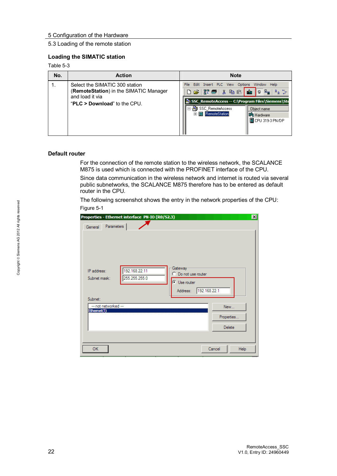#### 5 Configuration of the Hardware

#### 5.3 Loading of the remote station

#### **Loading the SIMATIC station**

#### Table 5-3

| No. | <b>Action</b>                                                                                                                 | <b>Note</b>                                                                                                                                                                                                                                         |
|-----|-------------------------------------------------------------------------------------------------------------------------------|-----------------------------------------------------------------------------------------------------------------------------------------------------------------------------------------------------------------------------------------------------|
|     | Select the SIMATIC 300 station<br>(RemoteStation) in the SIMATIC Manager<br>and load it via<br>"PLC $>$ Download" to the CPU. | File<br>Edit<br>Insert PLC<br>Help<br><b>View</b><br>Options<br>Window<br>口声 黑蒙 太阳尼<br>Ê.<br>10<br>SSC_RemoteAccess -- C:\Program Files\Siemens\Ste<br>SSC_RemoteAccess<br>Object name<br>·图 RemoteStation<br><b>Du</b> Hardware<br>CPU 319-3 PN/DP |

#### **Default router**

For the connection of the remote station to the wireless network, the SCALANCE M875 is used which is connected with the PROFINET interface of the CPU.

Since data communication in the wireless network and internet is routed via several public subnetworks, the SCALANCE M875 therefore has to be entered as default router in the CPU.

The following screenshot shows the entry in the network properties of the CPU: Figure 5-1

| Properties - Ethernet interface PN-IO (R0/S2.3)                                                                                                        | $\mathbf{x}$ |
|--------------------------------------------------------------------------------------------------------------------------------------------------------|--------------|
| Parameters<br>General                                                                                                                                  |              |
| Gateway -<br>192.168.22.11<br>IP address:<br>$\bigcirc$ Do not use router<br>255.255.255.0<br>Subnet mask:<br>C Use router<br>192.168.22.1<br>Address: |              |
| Subnet:<br>--- not networked ---<br>New<br>Ethernet(1)<br>Properties<br>Delete                                                                         |              |
| <b>OK</b><br>Cancel<br><b>Help</b>                                                                                                                     |              |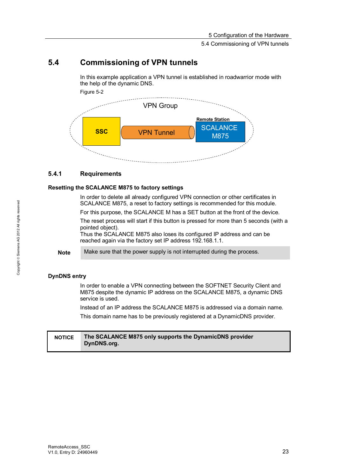# **5.4 Commissioning of VPN tunnels**

<span id="page-22-0"></span>In this example application a VPN tunnel is established in roadwarrior mode with the help of the dynamic DNS.



#### **5.4.1 Requirements**

#### **Resetting the SCALANCE M875 to factory settings**

<span id="page-22-1"></span>In order to delete all already configured VPN connection or other certificates in SCALANCE M875, a reset to factory settings is recommended for this module.

For this purpose, the SCALANCE M has a SET button at the front of the device.

The reset process will start if this button is pressed for more than 5 seconds (with a pointed object).

Thus the SCALANCE M875 also loses its configured IP address and can be reached again via the factory set IP address 192.168.1.1.

**Note** Make sure that the power supply is not interrupted during the process.

#### **DynDNS entry**

In order to enable a VPN connecting between the SOFTNET Security Client and M875 despite the dynamic IP address on the SCALANCE M875, a dynamic DNS service is used.

Instead of an IP address the SCALANCE M875 is addressed via a domain name.

This domain name has to be previously registered at a DynamicDNS provider.

#### **NOTICE The SCALANCE M875 only supports the DynamicDNS provider DynDNS.org.**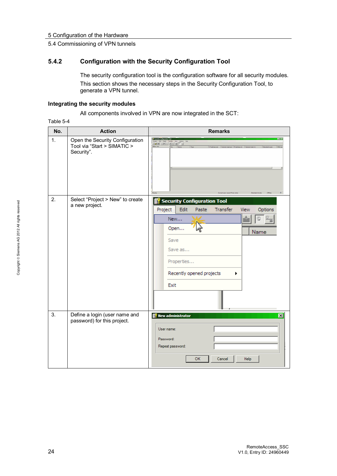## **5.4.2 Configuration with the Security Configuration Tool**

<span id="page-23-0"></span>The security configuration tool is the configuration software for all security modules. This section shows the necessary steps in the Security Configuration Tool, to generate a VPN tunnel.

## **Integrating the security modules**

All components involved in VPN are now integrated in the SCT:

| Table 5- |  |
|----------|--|
|----------|--|

| No. | <b>Action</b>                                                                | <b>Remarks</b>                                                                                                                                                                                                                                                                                                                                                                                 |  |
|-----|------------------------------------------------------------------------------|------------------------------------------------------------------------------------------------------------------------------------------------------------------------------------------------------------------------------------------------------------------------------------------------------------------------------------------------------------------------------------------------|--|
| 1.  | Open the Security Configuration<br>Tool via "Start > SIMATIC ><br>Security". | $= 10 \times$<br>Security Configuration Tool<br>$\underbrace{\hbox{D}[\underline{\omega}][\underline{m}]\otimes[\underline{m}]\times[\underline{m}]\times[\underline{m}]\otimes[\underline{m}]\otimes[\underline{m}]}_{\hbox{\scriptsize\bf 2D}}$<br>Subnet mask ext. IP address int. Subnet mask int.<br>IP address ext.<br>Current user: (user) Role: (role)<br>ø<br>Standard mode<br>Offlin |  |
| 2.  | Select "Project > New" to create<br>a new project.                           | Security Configuration Tool<br>Edit<br>Project<br>Transfer<br>Paste<br>View<br>Options<br>New<br>Open<br>Name<br>Save<br>Save as<br>Properties<br>Recently opened projects<br>▶<br>Exit                                                                                                                                                                                                        |  |
| 3.  | Define a login (user name and<br>password) for this project.                 | <b>R</b> New administrator<br>$\overline{\mathbf{x}}$<br>User name:<br>Password:<br>Repeat password:<br>OK<br>Help<br>Cancel                                                                                                                                                                                                                                                                   |  |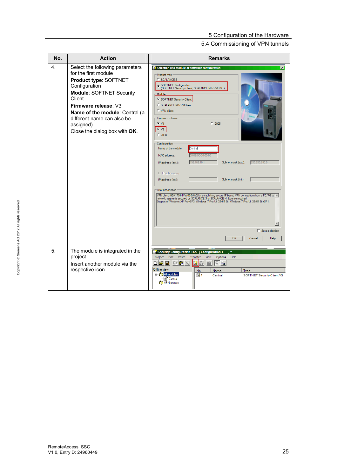| No. | <b>Action</b>                                                                                                                                                                                                                                                                 | <b>Remarks</b>                                                                                                                                                                                                                                                                                                                                                                                                                                                                                                                                                                                                                                                                                                                                                                                                                                                                                                                                                                                                                   |  |
|-----|-------------------------------------------------------------------------------------------------------------------------------------------------------------------------------------------------------------------------------------------------------------------------------|----------------------------------------------------------------------------------------------------------------------------------------------------------------------------------------------------------------------------------------------------------------------------------------------------------------------------------------------------------------------------------------------------------------------------------------------------------------------------------------------------------------------------------------------------------------------------------------------------------------------------------------------------------------------------------------------------------------------------------------------------------------------------------------------------------------------------------------------------------------------------------------------------------------------------------------------------------------------------------------------------------------------------------|--|
| 4.  | Select the following parameters<br>for the first module<br>Product type: SOFTNET<br>Configuration<br>Module: SOFTNET Security<br>Client<br>Firmware release: V3<br>Name of the module: Central (a<br>different name can also be<br>assigned)<br>Close the dialog box with OK. | Selection of a module or software configuration<br>$\vert x \vert$<br>Product type<br><b>C</b> SCALANCE S<br>SOFTNET Konfiguration<br>(SOFTNET Security Client, SCALANCE M87x/MD74x)<br>$=$ Module $=$<br>C SOFTNET Security Client<br>C SCALANCE M87x/MD74x<br>C VPN client<br>Firmware release<br>$G$ V4<br>$C$ 2005<br>$C$ V <sub>3</sub><br>$C$ 2008<br>Configuration<br>Name of the module:<br>Central<br>MAC address:<br>00-0E-8C-00-00-00<br>255.255.255.0<br>192.168.10.1<br>Subnet mask (ext.):<br>IP address (ext.):<br>$\Gamma$ Enable routing<br>Subnet mask (int.):<br>IP address (int.):<br><b>Brief description</b><br>VPN client (6GK1704-1VW03-0AA0) for establishing secure IP-based VPN connections from a PC/PG to A intervents secured by SCALANCE S or SCALANCE M. License required.<br>Support of Windows XP Pro+SP3, Windows 7 Pro/Ult 32/64 Bit, Windows 7 Pro/Ult 32/64 Bit+SP1.<br>□ Save selection<br>OK<br>Help<br>Cancel<br>$\frac{100}{200}$ Security Configuration Tool [ Configuration 1 -- ] * |  |
| 5.  | The module is integrated in the<br>project.<br>Insert another module via the<br>respective icon.                                                                                                                                                                              | Project<br>Edit<br>Paste<br>Transfer<br>View<br>Options<br>Help<br>$\frac{\sigma}{\sigma}$<br>DBB<br>电电<br>Θ<br>Offline view<br>Name<br>Type<br>No.<br><b>Elle All modules</b><br>67 1<br>SOFTNET Security Client V3<br>Central<br><del>∭</del> Central<br><b>R</b> VPN groups                                                                                                                                                                                                                                                                                                                                                                                                                                                                                                                                                                                                                                                                                                                                                   |  |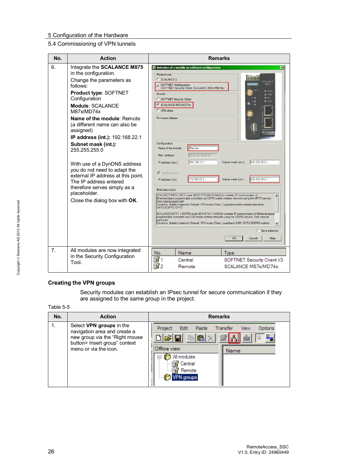| No.            | <b>Action</b>                                                                                                                                                                                                                                                                                                                                                                                                                                                                                                                                    | <b>Remarks</b>                                                                                                                                                                                                                                                                                                                                                                                                                                                                                                                                                                                                                                                                                                                                                                                                                                                                                                                                                                                                                                                                                                                                                                                                                                                                                                                                                                                      |  |  |
|----------------|--------------------------------------------------------------------------------------------------------------------------------------------------------------------------------------------------------------------------------------------------------------------------------------------------------------------------------------------------------------------------------------------------------------------------------------------------------------------------------------------------------------------------------------------------|-----------------------------------------------------------------------------------------------------------------------------------------------------------------------------------------------------------------------------------------------------------------------------------------------------------------------------------------------------------------------------------------------------------------------------------------------------------------------------------------------------------------------------------------------------------------------------------------------------------------------------------------------------------------------------------------------------------------------------------------------------------------------------------------------------------------------------------------------------------------------------------------------------------------------------------------------------------------------------------------------------------------------------------------------------------------------------------------------------------------------------------------------------------------------------------------------------------------------------------------------------------------------------------------------------------------------------------------------------------------------------------------------------|--|--|
| 6.             | Integrate the SCALANCE M875<br>in the configuration.<br>Change the parameters as<br>follows:<br>Product type: SOFTNET<br>Configuration<br>Module: SCALANCE<br>M87x/MD74x<br>Name of the module: Remote<br>(a different name can also be<br>assigned)<br>IP address (int.): 192.168.22.1<br>Subnet mask (int.):<br>255.255.255.0<br>With use of a DynDNS address<br>you do not need to adapt the<br>external IP address at this point.<br>The IP address entered<br>therefore serves simply as a<br>placeholder.<br>Close the dialog box with OK. | Selection of a module or software configuration<br>$\times$<br>Product type<br><b>C</b> SCALANCE S<br><b>SCALANCE</b><br>M875<br>SOFTNET Konfiguration<br>(SOFTNET Security Client, SCALANCE M87x/MD74x)<br><b>DC5V</b><br>Module<br><b>U</b> VPN<br>C SOFTNET Security Client<br>$\blacksquare$ $\Omega \Pi$<br>C SCALANCE M87x/MD74x<br>C VPN client<br>Firmware release<br>Configuration<br>Name of the module:<br>Remote<br>MAC address:<br>00-0E-8C-00-00-00<br>255.255.255.0<br>192.168.10.1<br>IP address (ext.):<br>Subnet mask (ext.):<br>$\nabla$ Enable routing<br>255.255.255.0<br>192.168.22.1<br>Subnet mask (int.):<br>IP address (int.):<br><b>Brief description</b><br>SCALANCE M875 UMTS router (6GK5 875-0AA10-1AA2) for wireless IP communication of<br>Ethemet-based programmable controllers via UMTS mobile wireless networks using the UMTS service.<br>Note national approvals!<br>Functions: Stateful Inspection Firewall, VPN router (IPsec). Supported mobile wireless standards:<br>UMTS/EGPRS/GPRS<br>SCALANCE MD741-1 EGPRS router (6NH9 741-1AA00) for wireless IP communication of Ethemet-based<br>programmable controllers via GSM mobile wireless networks using the EGPRS service. Note national<br>approvals!<br>Functions: Stateful Inspection Firewall, VPN router (IPsec), quad-band GSM, GPRS/EGPRS multislot<br>□ Save selection<br>Help<br>OK<br>Cancel |  |  |
| 7 <sub>1</sub> | All modules are now integrated<br>in the Security Configuration<br>Tool.                                                                                                                                                                                                                                                                                                                                                                                                                                                                         | Name<br>No.<br>Type<br>SOFTNET Security Client V3<br>Central<br>SCALANCE M87x/MD74x<br>Remote                                                                                                                                                                                                                                                                                                                                                                                                                                                                                                                                                                                                                                                                                                                                                                                                                                                                                                                                                                                                                                                                                                                                                                                                                                                                                                       |  |  |

#### **Creating the VPN groups**

Security modules can establish an IPsec tunnel for secure communication if they are assigned to the same group in the project.

#### Table 5-5

| No. | <b>Action</b>                                                                                                                                        | <b>Remarks</b>                                                                                                                                                                  |  |
|-----|------------------------------------------------------------------------------------------------------------------------------------------------------|---------------------------------------------------------------------------------------------------------------------------------------------------------------------------------|--|
|     | Select VPN groups in the<br>navigation area and create a<br>new group via the "Right mouse<br>button> Insert group" context<br>menu or via the icon. | Edit<br>Transfer<br>Paste<br>Project<br>Options<br><b>View</b><br>உ<br>面倒聞<br>國人<br>$\ln 2 \times$<br>Offline view<br>Name<br>All modules<br>⊟<br>Central<br>Remote<br>N groups |  |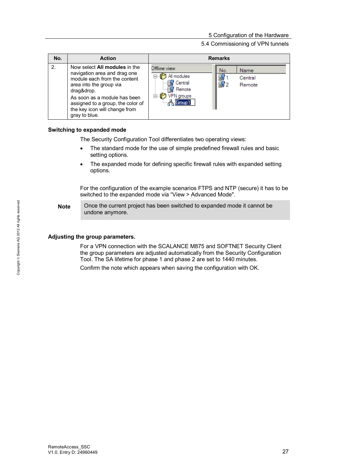| No. | <b>Action</b>                                                                                                                                                                                                                                                        | <b>Remarks</b>                                                                                 |                 |                           |
|-----|----------------------------------------------------------------------------------------------------------------------------------------------------------------------------------------------------------------------------------------------------------------------|------------------------------------------------------------------------------------------------|-----------------|---------------------------|
| 2.  | Now select <b>All modules</b> in the<br>navigation area and drag one<br>module each from the content<br>area into the group via<br>drag&drop.<br>As soon as a module has been<br>assigned to a group, the color of<br>the key icon will change from<br>gray to blue. | Offline view<br>⊪ <sup>6</sup> All modules<br>$\Box$<br>Central<br>Remote<br>Ò M<br>VPN groups | No.<br>歌1<br>歌2 | Name<br>Central<br>Remote |

#### **Switching to expanded mode**

The Security Configuration Tool differentiates two operating views:

- The standard mode for the use of simple predefined firewall rules and basic setting options.
- The expanded mode for defining specific firewall rules with expanded setting options.

For the configuration of the example scenarios FTPS and NTP (secure) it has to be switched to the expanded mode via "View > Advanced Mode".

**Note** Once the current project has been switched to expanded mode it cannot be undone anymore.

#### **Adjusting the group parameters.**

For a VPN connection with the SCALANCE M875 and SOFTNET Security Client the group parameters are adjusted automatically from the Security Configuration Tool. The SA lifetime for phase 1 and phase 2 are set to 1440 minutes.

Confirm the note which appears when saving the configuration with OK.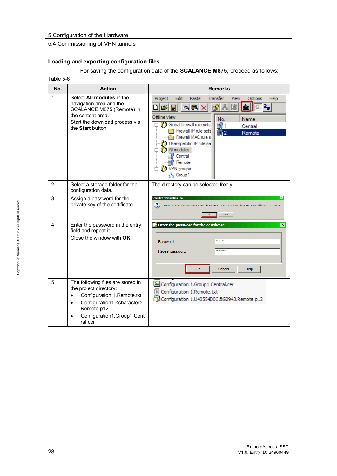## **Loading and exporting configuration files**

For saving the configuration data of the **SCALANCE M875**, proceed as follows:

<span id="page-27-0"></span>

| No. | <b>Action</b>                                                                                                                                                                                                             | <b>Remarks</b>                                                                                                                                                                                                                                                                                                                                                                     |
|-----|---------------------------------------------------------------------------------------------------------------------------------------------------------------------------------------------------------------------------|------------------------------------------------------------------------------------------------------------------------------------------------------------------------------------------------------------------------------------------------------------------------------------------------------------------------------------------------------------------------------------|
| 1.  | Select All modules in the<br>navigation area and the<br>SCALANCE M875 (Remote) in<br>the content area.<br>Start the download process via<br>the Start button.                                                             | Project<br><b>Edit</b><br>Transfer<br>Help<br>Paste<br>View<br>Options<br>௨<br>ack x<br>اڪن<br>풂<br>Γŵ<br>c<br>Ŧ<br>Offline view<br>No.<br>Name<br>□… is Global firewall rule sets<br>ਿੰਗੀ 1<br>Central<br>Firewall IP rule sets<br>F. 12<br>Remote<br>Firewall MAC rule s<br>User-specific IP rule se<br>All modules<br>Central<br>Remote<br>白 <b>image</b> VPN aroups<br>Group 1 |
| 2.  | Select a storage folder for the<br>configuration data.                                                                                                                                                                    | The directory can be selected freely.                                                                                                                                                                                                                                                                                                                                              |
| 3.  | Assign a password for the<br>private key of the certificate.                                                                                                                                                              | <b>Security Configuration Tool</b><br>$\mathbf{X}$<br>2<br>Do you want to enter your own password for the PKCS12 certificate? If 'No', the project name will be used as password.<br>Nein                                                                                                                                                                                          |
| 4.  | Enter the password in the entry<br>field and repeat it.<br>Close the window with OK                                                                                                                                       | <b>Exter the password for the certificate</b><br>$ \mathbf{x} $<br>Password:<br>Repeat password:<br>OK<br>Cancel<br>Help                                                                                                                                                                                                                                                           |
| 5.  | The following files are stored in<br>the project directory:<br>Configuration 1. Remote.txt<br>Configuration1. <character>.<br/><math>\bullet</math><br/>Remote.p12<br/>Configuration1.Group1.Cent<br/>ral.cer</character> | Configuration 1.Group1.Central.cer<br>Configuration 1.Remote.txt<br>Configuration 1.U40554D0C@G2943.Remote.p12                                                                                                                                                                                                                                                                     |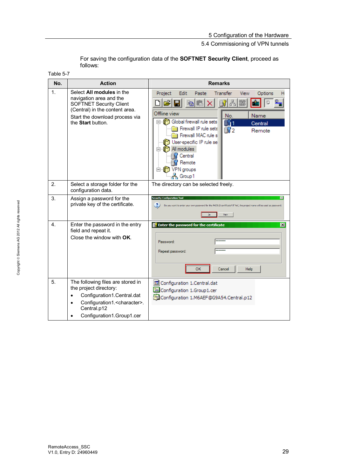<span id="page-28-0"></span>

|     | Table 5-7                                                                                                                                                                                                                 |                                                                                                                                                                                                                                                                                                                                        |  |  |  |  |
|-----|---------------------------------------------------------------------------------------------------------------------------------------------------------------------------------------------------------------------------|----------------------------------------------------------------------------------------------------------------------------------------------------------------------------------------------------------------------------------------------------------------------------------------------------------------------------------------|--|--|--|--|
| No. | <b>Action</b>                                                                                                                                                                                                             | <b>Remarks</b>                                                                                                                                                                                                                                                                                                                         |  |  |  |  |
| 1.  | Select All modules in the<br>navigation area and the<br><b>SOFTNET Security Client</b><br>(Central) in the content area.<br>Start the download process via<br>the Start button.                                           | Edit<br>Transfer<br>Project<br>Paste<br>View<br>Options<br>ΓÖΠ<br>lip<br>Offline view<br>Name<br>No.<br>Global firewall rule sets<br>31 1<br>Fŀ<br>Central<br>Firewall IP rule sets<br>68 2<br>Remote<br>Firewall MAC rule s<br>User-specific IP rule se<br>All modules<br>Central<br>Remote<br><b>⊟</b> In VPN groups<br>န္တြာ Group1 |  |  |  |  |
| 2.  | Select a storage folder for the<br>configuration data.                                                                                                                                                                    | The directory can be selected freely.                                                                                                                                                                                                                                                                                                  |  |  |  |  |
| 3.  | Assign a password for the<br>private key of the certificate.                                                                                                                                                              | <b>Security Configuration Tool</b><br>$\vert x \vert$<br>Do you want to enter your own password for the PKCS12 certificate? If 'No', the project name will be used as password.<br>Nein                                                                                                                                                |  |  |  |  |
| 4.  | Enter the password in the entry<br>field and repeat it.<br>Close the window with OK.                                                                                                                                      | Enter the password for the certificate<br>$\vert x \vert$<br>Password:<br>Repeat password:<br>OK<br>Cancel<br>Help                                                                                                                                                                                                                     |  |  |  |  |
| 5.  | The following files are stored in<br>the project directory:<br>Configuration1.Central.dat<br>$\bullet$<br>Configuration1. <character>.<br/><math>\bullet</math><br/>Central.p12<br/>Configuration1.Group1.cer</character> | Configuration 1.Central.dat<br>Configuration 1.Group1.cer<br>Configuration 1.M6AEF@G9A54.Central.p12                                                                                                                                                                                                                                   |  |  |  |  |

For saving the configuration data of the **SOFTNET Security Client**, proceed as follows: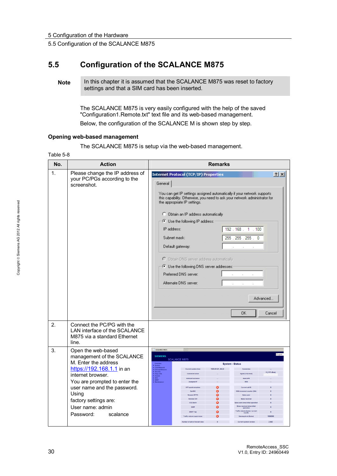# **5.5 Configuration of the SCALANCE M875**

The SCALANCE M875 is very easily configured with the help of the saved "Configuration1.Remote.txt" text file and its web-based management. Below, the configuration of the SCALANCE M is shown step by step.

#### **Opening web-based management**

The SCALANCE M875 is setup via the web-based management.

Table 5-8

| No. | <b>Action</b>                                                                                                                                                                                                                                                             | <b>Remarks</b>                                                                                                                                                                                                                                                                                                                                                                                                                                                                                                                                                                                                     |
|-----|---------------------------------------------------------------------------------------------------------------------------------------------------------------------------------------------------------------------------------------------------------------------------|--------------------------------------------------------------------------------------------------------------------------------------------------------------------------------------------------------------------------------------------------------------------------------------------------------------------------------------------------------------------------------------------------------------------------------------------------------------------------------------------------------------------------------------------------------------------------------------------------------------------|
| 1.  | Please change the IP address of<br>your PC/PGs according to the<br>screenshot.                                                                                                                                                                                            | <b>Internet Protocol (TCP/IP) Properties</b><br> ? X <br>General<br>You can get IP settings assigned automatically if your network supports<br>this capability. Otherwise, you need to ask your network administrator for<br>the appropriate IP settings.<br>C Obtain an IP address automatically<br>C Use the following IP address:<br>IP address:<br>192.168.<br>1.100<br>Subnet mask:<br>255 . 255 . 255 .<br>Default gateway:<br>C Obtain DNS server address automatically<br>- ● Use the following DNS server addresses:<br>Preferred DNS server:<br>Alternate DNS server:<br>Advanced<br><b>OK</b><br>Cancel |
| 2.  | Connect the PC/PG with the<br>LAN interface of the SCALANCE<br>M875 via a standard Ethernet<br>line.                                                                                                                                                                      |                                                                                                                                                                                                                                                                                                                                                                                                                                                                                                                                                                                                                    |
| 3.  | Open the web-based<br>management of the SCALANCE<br>M. Enter the address<br>https://192.168.1.1 in an<br>internet browser.<br>You are prompted to enter the<br>user name and the password.<br>Using<br>factory settings are:<br>User name: admin<br>Password:<br>scalance | SCALANCE M875<br><b>SIEMENS</b><br><b>SCALANCE M875</b><br><b>System - Status</b><br>1970-01-01, 00:22<br>0 (-113 dbm)<br>il (CSQ le<br>SMS<br>SNMP<br>eived since initia<br>ime (bytes / current<br><b>Rumber of active firewall rules</b><br><b>Current system version</b>                                                                                                                                                                                                                                                                                                                                       |

30

<span id="page-29-0"></span>**Note** In this chapter it is assumed that the SCALANCE M875 was reset to factory settings and that a SIM card has been inserted.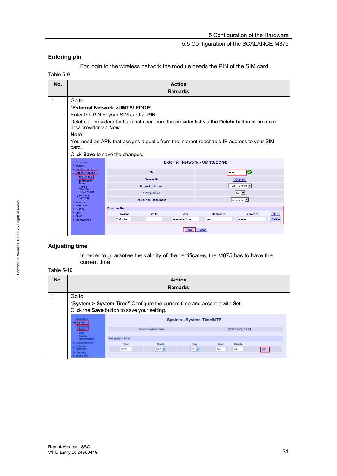#### **Entering pin**

For login to the wireless network the module needs the PIN of the SIM card.

#### Table 5-9

| No. | Action                                                                                                                                                                                                                                                                                                                             |                                        |                                     |          |                           |  |  |
|-----|------------------------------------------------------------------------------------------------------------------------------------------------------------------------------------------------------------------------------------------------------------------------------------------------------------------------------------|----------------------------------------|-------------------------------------|----------|---------------------------|--|--|
|     | <b>Remarks</b>                                                                                                                                                                                                                                                                                                                     |                                        |                                     |          |                           |  |  |
| 1.  | Go to<br>"External Network >UMTS/ EDGE"<br>Enter the PIN of your SIM card at PIN.<br>Delete all providers that are not used from the provider list via the <b>Delete</b> button or create a<br>new provider via New.<br>Note:<br>You need an APN that assigns a public from the internet reachable IP address to your SIM<br>card. |                                        |                                     |          |                           |  |  |
|     |                                                                                                                                                                                                                                                                                                                                    | Click <b>Save</b> to save the changes. |                                     |          |                           |  |  |
|     | Overview<br>$\triangleright$ System                                                                                                                                                                                                                                                                                                |                                        | <b>External Network - UMTS/EDGE</b> |          |                           |  |  |
|     | Local Network<br>External Network                                                                                                                                                                                                                                                                                                  | PIN                                    |                                     | $$       | Ø                         |  |  |
|     | UMT S/EDGE<br>Installation<br>Mode                                                                                                                                                                                                                                                                                                 | <b>Change PIN</b>                      |                                     | Change   |                           |  |  |
|     | <b>Traffic</b><br>Volume                                                                                                                                                                                                                                                                                                           | <b>Network selection</b>               |                                     |          | UMTS or GSM -             |  |  |
|     | Supervision<br>Advanced<br><b>Settings</b>                                                                                                                                                                                                                                                                                         | <b>Allow roaming</b>                   |                                     |          | $No$ $\blacktriangledown$ |  |  |
|     | Security                                                                                                                                                                                                                                                                                                                           | Automatic V<br>Provider selection mode |                                     |          |                           |  |  |
|     | <b>IPSec VPN</b><br><b>Provider list</b><br>Access                                                                                                                                                                                                                                                                                 |                                        |                                     |          |                           |  |  |
|     | SMS<br><b>SNMP</b>                                                                                                                                                                                                                                                                                                                 | Net-ID<br>Provider                     | <b>APN</b>                          | Username | Password<br>New           |  |  |
|     | $\blacktriangleright$ Maintenance                                                                                                                                                                                                                                                                                                  | 1<br>T-Mobile                          | internet.t-d1.de                    | guest    | Delete<br>                |  |  |
|     |                                                                                                                                                                                                                                                                                                                                    | <b>Save</b><br>Reset                   |                                     |          |                           |  |  |

## **Adjusting time**

In order to guarantee the validity of the certificates, the M875 has to have the current time.

#### Table 5-10

| No. | <b>Action</b>                                              |                                                                           |                     |                                 |      |                   |     |
|-----|------------------------------------------------------------|---------------------------------------------------------------------------|---------------------|---------------------------------|------|-------------------|-----|
|     |                                                            | <b>Remarks</b>                                                            |                     |                                 |      |                   |     |
| 1.  | Go to                                                      |                                                                           |                     |                                 |      |                   |     |
|     |                                                            | "System > System Time" Configure the current time and accept it with Set. |                     |                                 |      |                   |     |
|     |                                                            | Click the Save button to save your setting.                               |                     |                                 |      |                   |     |
|     | Overview<br>iystem                                         |                                                                           |                     | <b>System - System Time/NTP</b> |      |                   |     |
|     | Systen<br>Time<br>Log                                      |                                                                           | Current system time |                                 |      | 2012-12-22, 15:54 |     |
|     | Device<br>Identification                                   | Set system time                                                           |                     |                                 |      |                   |     |
|     | <b>ELocal Network</b>                                      | Year                                                                      | Month               | Day                             | Hour | Minute            |     |
|     | <b>External</b><br>Network<br>Security<br><b>IPSec VPN</b> | 2012                                                                      | $Dec$ $\vee$        | $22 -$                          | 14   | 54                | Set |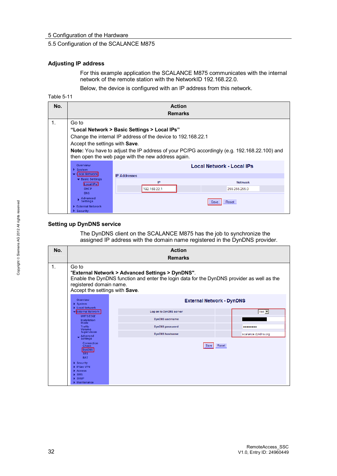#### **Adjusting IP address**

For this example application the SCALANCE M875 communicates with the internal network of the remote station with the NetworkID 192.168.22.0.

Below, the device is configured with an IP address from this network.

Table 5-11

| No.         |                                                                                                                                                                                                                                                                                                              | <b>Action</b>       |                                  |  |  |  |
|-------------|--------------------------------------------------------------------------------------------------------------------------------------------------------------------------------------------------------------------------------------------------------------------------------------------------------------|---------------------|----------------------------------|--|--|--|
|             |                                                                                                                                                                                                                                                                                                              | <b>Remarks</b>      |                                  |  |  |  |
| $\mathbf 1$ | Go to<br>"Local Network > Basic Settings > Local IPs"<br>Change the internal IP address of the device to 192.168.22.1<br>Accept the settings with Save.<br>Note: You have to adjust the IP address of your PC/PG accordingly (e.g. 192.168.22.100) and<br>then open the web page with the new address again. |                     |                                  |  |  |  |
|             | Overview<br>$\blacktriangleright$ System<br>ocal Network                                                                                                                                                                                                                                                     | <b>IP Addresses</b> | <b>Local Network - Local IPs</b> |  |  |  |
|             | $\blacktriangleright$ Basic Settings<br>Local IPs<br><b>DHCP</b><br><b>DNS</b>                                                                                                                                                                                                                               | IP<br>192.168.22.1  | Netmask<br>255 255 255 0         |  |  |  |
|             | Advanced<br><b>Settings</b><br><b>External Network</b><br>Security                                                                                                                                                                                                                                           |                     | Reset<br>Save                    |  |  |  |

#### **Setting up DynDNS service**

The DynDNS client on the SCALANCE M875 has the job to synchronize the assigned IP address with the domain name registered in the DynDNS provider.

| No. | <b>Action</b><br><b>Remarks</b>                                                                                                                                                                                                              |                                                                                                                                                |       |                          |  |  |
|-----|----------------------------------------------------------------------------------------------------------------------------------------------------------------------------------------------------------------------------------------------|------------------------------------------------------------------------------------------------------------------------------------------------|-------|--------------------------|--|--|
| 1.  | Go to<br>registered domain name.<br>Accept the settings with Save.                                                                                                                                                                           | "External Network > Advanced Settings > DynDNS".<br>Enable the DynDNS function and enter the login data for the DynDNS provider as well as the |       |                          |  |  |
|     | Overview<br>$\blacktriangleright$ System<br>▶ Local Network                                                                                                                                                                                  | <b>External Network - DynDNS</b>                                                                                                               |       |                          |  |  |
|     | External Network                                                                                                                                                                                                                             | Log on to DynDNS server                                                                                                                        |       | Yes $\blacktriangledown$ |  |  |
|     | <b>UMTS/EDGE</b><br>Installation                                                                                                                                                                                                             | <b>DynDNS</b> username                                                                                                                         |       |                          |  |  |
|     | Mode<br>Traffic<br>Volume                                                                                                                                                                                                                    | <b>DynDNS</b> password                                                                                                                         |       |                          |  |  |
|     | Supervision                                                                                                                                                                                                                                  | <b>DynDNS</b> hostname                                                                                                                         |       | scalance.dyndns.org      |  |  |
|     | Advanced<br>Settings<br>Connection<br><b>Check</b><br><b>DynDNS</b><br><b>SRS</b><br><b>NAT</b><br>$\blacktriangleright$ Security<br><b>FIPSec VPN</b><br>Access<br>$\triangleright$ SMS<br>$\blacktriangleright$ SNMP<br><b>Maintenance</b> | Save                                                                                                                                           | Reset |                          |  |  |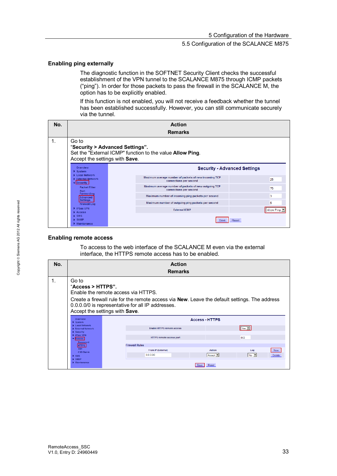#### **Enabling ping externally**

The diagnostic function in the SOFTNET Security Client checks the successful establishment of the VPN tunnel to the SCALANCE M875 through ICMP packets ("ping"). In order for those packets to pass the firewall in the SCALANCE M, the option has to be explicitly enabled.

If this function is not enabled, you will not receive a feedback whether the tunnel has been established successfully. However, you can still communicate securely via the tunnel.

| No. |                                                                                                                                                                                                                                             |                      | <b>Action</b><br><b>Remarks</b>                                                 |            |    |  |  |
|-----|---------------------------------------------------------------------------------------------------------------------------------------------------------------------------------------------------------------------------------------------|----------------------|---------------------------------------------------------------------------------|------------|----|--|--|
|     | Go to<br>"Security > Advanced Settings".<br>Set the "External ICMP" function to the value Allow Ping.<br>Accept the settings with Save.                                                                                                     |                      |                                                                                 |            |    |  |  |
|     | Overview<br>$\blacktriangleright$ System<br><b>Local Network</b><br>$\triangleright$ External Network<br>$\blacktriangleright$ Security<br><b>Packet Filter</b><br>Port<br>Forwarding<br>Advanced<br><b>Settings</b><br><b>Firewall Log</b> |                      | <b>Security - Advanced Settings</b>                                             |            |    |  |  |
|     |                                                                                                                                                                                                                                             |                      | Maximum average number of packets of new incoming TCP<br>connections per second |            | 25 |  |  |
|     |                                                                                                                                                                                                                                             |                      | Maximum average number of packets of new outgoing TCP<br>connections per second |            | 75 |  |  |
|     |                                                                                                                                                                                                                                             |                      | Maximum number of incoming ping packets per second                              |            | 3  |  |  |
|     |                                                                                                                                                                                                                                             |                      | Maximum number of outgoing ping packets per second                              |            | 5  |  |  |
|     | <b>FIPSec VPN</b><br>Access                                                                                                                                                                                                                 | <b>External ICMP</b> |                                                                                 | Allow Ping |    |  |  |
|     | $\triangleright$ SMS<br>$\blacktriangleright$ SNMP<br>$\blacktriangleright$ Maintenance                                                                                                                                                     |                      |                                                                                 | Reset      |    |  |  |

#### **Enabling remote access**

To access to the web interface of the SCALANCE M even via the external interface, the HTTPS remote access has to be enabled.

| No. | <b>Action</b><br><b>Remarks</b>                                                                                                                                                                                                                           |                                             |                                  |                           |        |  |
|-----|-----------------------------------------------------------------------------------------------------------------------------------------------------------------------------------------------------------------------------------------------------------|---------------------------------------------|----------------------------------|---------------------------|--------|--|
| 1.  | Go to<br>"Access > HTTPS".<br>Enable the remote access via HTTPS.<br>Create a firewall rule for the remote access via New. Leave the default settings. The address<br>0.0.0.0/0 is representative for all IP addresses.<br>Accept the settings with Save. |                                             |                                  |                           |        |  |
|     | Overview<br>$\blacktriangleright$ System                                                                                                                                                                                                                  |                                             | <b>Access - HTTPS</b>            |                           |        |  |
|     | <b>El ocal lletwork</b><br><b>External Network</b><br>$\blacktriangleright$ Security                                                                                                                                                                      | <b>Enable HTTPS remote access</b>           |                                  | $ Y_{es} -$               |        |  |
|     | P IPSec VPN<br>$\blacktriangleright$ Access<br>Password<br><b>HTTPS</b><br><b>SSH</b><br>CSD Dial-In<br>$\blacktriangleright$ SMS<br><b>E</b> SNMP<br>$\blacktriangleright$ Maintenance                                                                   | HTTPS remote access port                    |                                  | 443                       |        |  |
|     |                                                                                                                                                                                                                                                           | <b>Firewall Rules</b><br>From IP (External) | Action                           | Log                       | New    |  |
|     |                                                                                                                                                                                                                                                           | 0.0.0.010                                   | Accept <b>T</b><br>Reset<br>Save | $No$ $\blacktriangledown$ | Delete |  |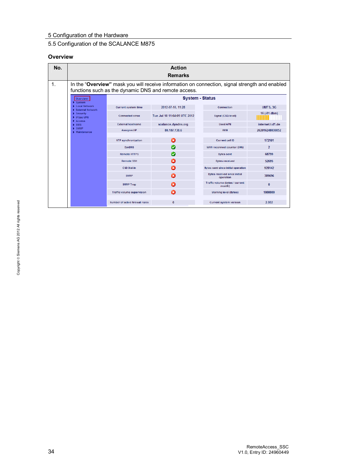#### **Overview**

| No.         |                                                           |                                 | <b>Action</b><br><b>Remarks</b>                      |                                                  |                                                                                                |
|-------------|-----------------------------------------------------------|---------------------------------|------------------------------------------------------|--------------------------------------------------|------------------------------------------------------------------------------------------------|
| $\mathbf 1$ |                                                           |                                 | functions such as the dynamic DNS and remote access. |                                                  | In the "Overview" mask you will receive information on connection, signal strength and enabled |
|             | Overview<br>$\overline{\triangleright}$ System            |                                 |                                                      | <b>System - Status</b>                           |                                                                                                |
|             | <b>Local Network</b><br>$\triangleright$ External Network | Current system time             | 2012-07-10, 11:28                                    | Connection                                       | <b>UMTS, 3G</b>                                                                                |
|             | Security<br>▶ IPSec VPN<br>Access                         | <b>Connected since</b>          | Tue Jul 10 11:04:05 UTC 2012                         | Signal (CSQ level)                               | 16 (-81 dbm)                                                                                   |
|             | $\triangleright$ SMS                                      | <b>External hostname</b>        | scalance.dyndns.org                                  | <b>Used APN</b>                                  | internet.t-d1.de                                                                               |
|             | <b>E</b> SNMP<br>Maintenance                              | <b>Assigned IP</b>              | 80.187.138.6                                         | <b>IMSI</b>                                      | 262016248039852                                                                                |
|             |                                                           | <b>NTP synchronization</b>      | Ø                                                    | <b>Current cell ID</b>                           | 172101                                                                                         |
|             |                                                           | <b>DynDNS</b>                   | Ø                                                    | WAN reconnect counter (24h)                      | $\overline{2}$                                                                                 |
|             |                                                           | <b>Remote HTTPS</b>             | Ø                                                    | <b>Bytes sent</b>                                | 68799                                                                                          |
|             |                                                           | <b>Remote SSH</b>               | Ø                                                    | <b>Bytes received</b>                            | 52695                                                                                          |
|             |                                                           | CSD Dial-In                     | ø                                                    | Bytes sent since initial operation               | 928142                                                                                         |
|             |                                                           | <b>SNMP</b>                     | Ø                                                    | <b>Bytes received since initial</b><br>operation | 389696                                                                                         |
|             |                                                           | <b>SNMP Trap</b>                | Ø                                                    | Traffic volume (bytes / current<br>month)        | $\bf{0}$                                                                                       |
|             |                                                           | Traffic volume supervision      | $\boldsymbol{\alpha}$                                | <b>Warning level (Bytes)</b>                     | 1000000                                                                                        |
|             |                                                           | Number of active firewall rules | $\bf{0}$                                             | <b>Current system version</b>                    | 2.002                                                                                          |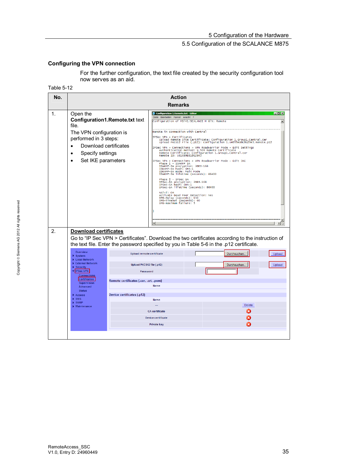## **Configuring the VPN connection**

For the further configuration, the text file created by the security configuration tool now serves as an aid.

Table 5-12

| No. | <b>Action</b>                                                                                                                                                                                                                                                                                                                                              |                                                                                                                                                                                                                                                                                                                                                                                                                                                                                                                                                                                                                                                                                                                                                                                                                                                                                                                                                                                                                                                                                                                           |                                                                                          |  |                                                                                                                                                                                                                                                            |
|-----|------------------------------------------------------------------------------------------------------------------------------------------------------------------------------------------------------------------------------------------------------------------------------------------------------------------------------------------------------------|---------------------------------------------------------------------------------------------------------------------------------------------------------------------------------------------------------------------------------------------------------------------------------------------------------------------------------------------------------------------------------------------------------------------------------------------------------------------------------------------------------------------------------------------------------------------------------------------------------------------------------------------------------------------------------------------------------------------------------------------------------------------------------------------------------------------------------------------------------------------------------------------------------------------------------------------------------------------------------------------------------------------------------------------------------------------------------------------------------------------------|------------------------------------------------------------------------------------------|--|------------------------------------------------------------------------------------------------------------------------------------------------------------------------------------------------------------------------------------------------------------|
|     |                                                                                                                                                                                                                                                                                                                                                            |                                                                                                                                                                                                                                                                                                                                                                                                                                                                                                                                                                                                                                                                                                                                                                                                                                                                                                                                                                                                                                                                                                                           | <b>Remarks</b>                                                                           |  |                                                                                                                                                                                                                                                            |
| 1.  | Open the<br><b>Configuration1.Remote.txt text</b><br>file.<br>The VPN configuration is<br>performed in 3 steps:<br>Download certificates<br>Specify settings<br>Set IKE parameters                                                                                                                                                                         | Configuration 1.Remote.txt - Editor<br>$\Box$ D $\bm{x}$<br>Datei Bearbeiten Format Ansicht ?<br>Configuration of MD741/SCALANCE M 87X: Remote<br>$\blacktriangle$<br>Remote in connection with Central<br>IPSec VPN > Certificates<br>Upload Remote Site Certificate: Configuration 1. Group1. Central. cer<br>Upload PKCS12 File (.p12): Configuration 1.040554DOC@G2943.Remote.p12<br>IPSec VPN > Connections > VPN Roadwarrior Mode - Edit Settings<br>Authentication method: X.509 Remote Certificate<br>Remote Certificate: Configuration 1.Group1.Central.cer<br>Remote ID: U61689B81@G2943<br>IPSec VPN > Connections > VPN Roadwarrior Mode - Edit IKE<br>Phase 1 - ISAKMP SA<br>ISAKMP-SA encryption: 3DES-168<br>ISKAMP-SA hash: SHA-1<br>ISKAMP-SA mode: Main Mode<br>ISAKMP-SA lifetime (seconds): 86400<br>Phase 2 - IPSec SA<br>IPSec-SA encryption: 3DES-168<br>IPSec-SA hash: SHA-1<br>IPSec-SA lifetime (seconds): 86400<br>NAT-T: On<br>Activate Dead Peer Detection: Yes<br>DPD-Delay (seconds): 150<br>DPD-Delay (seconds): 150<br>DPD-maximum failure: 5<br>$\left  \cdot \right $<br>$\frac{1}{2}$ |                                                                                          |  |                                                                                                                                                                                                                                                            |
| 2.  | <b>Download certificates</b><br>Overview<br>$\blacktriangleright$ System<br><b>Local Network</b><br>External Network<br>$\blacktriangleright$ Security<br><b>VIPSec VPN</b><br><b>Connections</b><br><b>Certificates</b><br>Supervision<br>Advanced<br><b>Status</b><br>Access<br>$\triangleright$ SMS<br><b>SNMP</b><br>$\blacktriangleright$ Maintenance | <b>Upload remote certificate</b><br>Upload PKCS12 file (.p12)<br>Password<br>Remote certificates (.cer, .crt, .pem)<br>Device certificates (.p12)                                                                                                                                                                                                                                                                                                                                                                                                                                                                                                                                                                                                                                                                                                                                                                                                                                                                                                                                                                         | <b>Name</b><br>Name<br><b>CA</b> certificate<br><b>Device certificate</b><br>Private key |  | Go to "IP Sec VPN > Certificates". Download the two certificates according to the instruction of<br>the text file. Enter the password specified by you in Table 5-6 in the .p12 certificate.<br>Durchsuchen.<br>Upload<br>Durchsuchen.<br>Upload<br>Delete |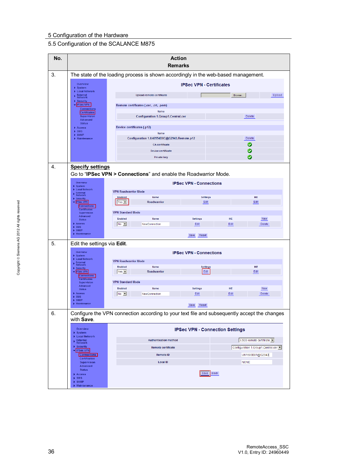## 5 Configuration of the Hardware

## 5.5 Configuration of the SCALANCE M875

| No. | <b>Action</b><br><b>Remarks</b>                                                    |                                                                                              |                                        |                    |                                    |  |
|-----|------------------------------------------------------------------------------------|----------------------------------------------------------------------------------------------|----------------------------------------|--------------------|------------------------------------|--|
| 3.  | The state of the loading process is shown accordingly in the web-based management. |                                                                                              |                                        |                    |                                    |  |
|     | Overview<br>$\blacktriangleright$ System                                           | <b>IPSec VPN - Certificates</b>                                                              |                                        |                    |                                    |  |
|     | Local Network<br>External<br>Network                                               | <b>Upload remote certificate</b>                                                             |                                        | Browse.            | Upload                             |  |
|     | $\blacktriangleright$ Security<br><b>IPSec VPN</b><br>Connections                  | Remote certificates (.cer, .crt, .pem)                                                       |                                        |                    |                                    |  |
|     | <b>Certificates</b><br>Supervision<br>Advanced                                     | Name<br><b>Configuration 1.Group1.Central.cer</b>                                            |                                        |                    | Delete                             |  |
|     | <b>Status</b><br>Access<br>$\triangleright$ SMS                                    | Device certificates (.p12)<br>Name                                                           |                                        |                    |                                    |  |
|     | $\blacktriangleright$ SNMP<br>$\blacktriangleright$ Maintenance                    | Configuration 1.U40554D0C@G2943.Remote.p12                                                   |                                        |                    | Delete                             |  |
|     |                                                                                    | <b>CA</b> certificate<br>Device certificate                                                  |                                        |                    | Ø<br>Ø                             |  |
|     |                                                                                    | Private key                                                                                  |                                        |                    | $\checkmark$                       |  |
| 4.  | <b>Specify settings</b>                                                            |                                                                                              |                                        |                    |                                    |  |
|     |                                                                                    | Go to "IPSec VPN > Connections" and enable the Roadwarrior Mode.                             |                                        |                    |                                    |  |
|     | Overview<br>$\blacktriangleright$ System<br>Local Network                          |                                                                                              | <b>IPSec VPN - Connections</b>         |                    |                                    |  |
|     | $\triangleright$ External<br>Network                                               | <b>VPN Roadwarrior Mode</b><br>Enabled<br><b>Name</b>                                        | <b>Settings</b>                        |                    | <b>IKE</b>                         |  |
|     | $\blacktriangleright$ Security<br>PSec VPN<br><b>Connections</b>                   | <b>Roadwarrior</b><br>$Yes -$                                                                | Edit                                   |                    | Edit                               |  |
|     | <b>Certificates</b><br>Supervision<br>Advanced                                     | <b>VPN Standard Mode</b>                                                                     |                                        |                    |                                    |  |
|     | <b>Status</b><br>Access                                                            | Enabled<br>Name<br>No -<br>NewConnection                                                     | <b>Settings</b><br>Edit                | <b>IKE</b><br>Edit | New<br>Delete                      |  |
|     | SMS<br>٠<br>$\triangleright$ SNMP<br>$\blacktriangleright$ Maintenance             |                                                                                              | Reset<br>Save                          |                    |                                    |  |
| 5.  | Edit the settings via Edit.                                                        |                                                                                              |                                        |                    |                                    |  |
|     | Overview<br>$\triangleright$ System                                                |                                                                                              | <b>IPSec VPN - Connections</b>         |                    |                                    |  |
|     | Local Network<br>External<br><b>Network</b>                                        | <b>VPN Roadwarrior Mode</b><br><b>Enabled</b><br>Name                                        | <b>Settings</b>                        |                    | <b>IKE</b>                         |  |
|     | Security<br><b>IPSec VPN</b><br><b>Connections</b>                                 | $Yes -$<br><b>Roadwarrior</b>                                                                | Edit                                   |                    | Edit                               |  |
|     | <b>Certificates</b><br>Supervision<br>Advanced                                     | <b>VPN Standard Mode</b>                                                                     |                                        |                    |                                    |  |
|     | <b>Status</b><br>Access                                                            | <b>Enabled</b><br>Name<br>No -<br>NewConnection                                              | <b>Settings</b><br>Edit                | <b>IKE</b><br>Edit | <b>New</b><br>Delete               |  |
|     | SMS<br>×<br>SNMP<br>ь<br>Maintenance                                               |                                                                                              | Save Reset                             |                    |                                    |  |
| 6.  | with Save.                                                                         | Configure the VPN connection according to your text file and subsequently accept the changes |                                        |                    |                                    |  |
|     | Overview<br>$\blacktriangleright$ System                                           |                                                                                              | <b>IPSec VPN - Connection Settings</b> |                    |                                    |  |
|     | Local Network<br><b>External</b><br>Network                                        | <b>Authentication method</b>                                                                 |                                        |                    | X.509 remote certifikate           |  |
|     | $\blacktriangleright$ Security<br>▼ IPSec VPN                                      | Remote certificate                                                                           |                                        |                    | Configuration 1.Group1.Central.cer |  |
|     | <b>Connections</b><br>Certificates<br>Supervision                                  | Remote ID<br><b>Local ID</b>                                                                 |                                        |                    | U61689B81@G2943<br><b>NONE</b>     |  |
|     | Advanced<br><b>Status</b>                                                          |                                                                                              |                                        |                    |                                    |  |
|     | Access<br>SMS<br>٠<br>SNMP                                                         |                                                                                              | Back<br>Save                           |                    |                                    |  |
|     | $\blacktriangleright$ Maintenance                                                  |                                                                                              |                                        |                    |                                    |  |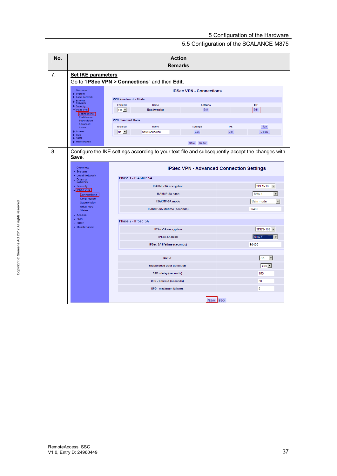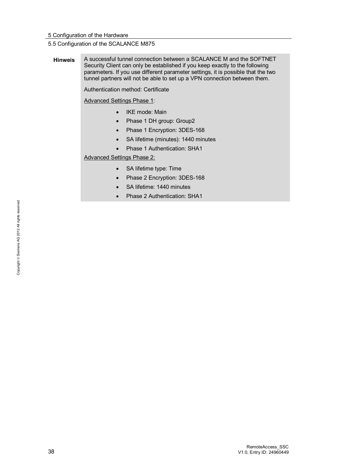**Hinweis** A successful tunnel connection between a SCALANCE M and the SOFTNET Security Client can only be established if you keep exactly to the following parameters. If you use different parameter settings, it is possible that the two tunnel partners will not be able to set up a VPN connection between them.

Authentication method: Certificate

Advanced Settings Phase 1:

- IKE mode: Main
- Phase 1 DH group: Group2
- Phase 1 Encryption: 3DES-168
- SA lifetime (minutes): 1440 minutes
- Phase 1 Authentication: SHA1

Advanced Settings Phase 2:

- SA lifetime type: Time
- Phase 2 Encryption: 3DES-168
- SA lifetime: 1440 minutes
- x Phase 2 Authentication: SHA1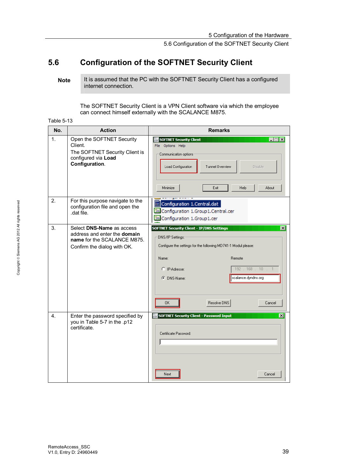5.6 Configuration of the SOFTNET Security Client

# **5.6 Configuration of the SOFTNET Security Client**

The SOFTNET Security Client is a VPN Client software via which the employee can connect himself externally with the SCALANCE M875.

| Table 5-13 |
|------------|
|------------|

| No. | <b>Action</b>                                                                                                                  | <b>Remarks</b>                                                                                                                                                                                                                                                                               |
|-----|--------------------------------------------------------------------------------------------------------------------------------|----------------------------------------------------------------------------------------------------------------------------------------------------------------------------------------------------------------------------------------------------------------------------------------------|
| 1.  | Open the SOFTNET Security<br>Client.<br>The SOFTNET Security Client is<br>configured via Load<br>Configuration.                | SOFTNET Security Client<br>EDE<br>File Options Help<br>Communication options<br>Tunnel Overview<br>Load Configuration<br>Disable<br>Minimize<br>Exit<br>Help<br><b>About</b>                                                                                                                 |
| 2.  | For this purpose navigate to the<br>configuration file and open the<br>.dat file.                                              | Configuration 1.Central.dat<br>Configuration 1.Group1.Central.cer<br>Configuration 1.Group1.cer                                                                                                                                                                                              |
| 3.  | Select DNS-Name as access<br>address and enter the <b>domain</b><br>name for the SCALANCE M875.<br>Confirm the dialog with OK. | <b>SOFTNET Security Client - IP/DNS Settings</b><br>$\vert x \vert$<br>DNS/IP Settings:<br>Configure the settings for the following MD741-1 Modul please:<br>Name:<br>Remote<br>192.168.10<br>C IP-Adresse:<br>$\sim$ 1<br>scalance.dyndns.org<br>C DNS-Name:<br>0K<br>Resolve DNS<br>Cancel |
| 4.  | Enter the password specified by<br>you in Table 5-7 in the .p12<br>certificate.                                                | $\vert x \vert$<br><b>SOFTNET Security Client - Password Input</b><br>Certificate Password:<br>Next<br>Cancel                                                                                                                                                                                |

<span id="page-38-0"></span>Note It is assumed that the PC with the SOFTNET Security Client has a configured internet connection.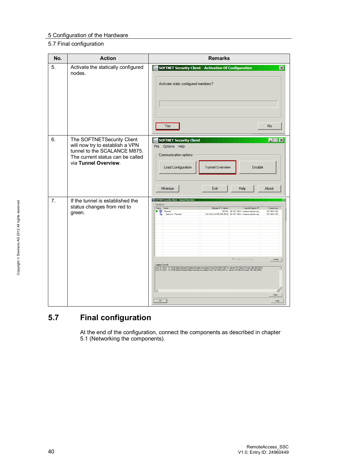#### 5 Configuration of the Hardware

#### 5.7 Final configuration

| No. | <b>Action</b>                                                                                                                                             | <b>Remarks</b>                                                                                                                                                                                                                                                                                                                                                                                                                                                                                                                                                                                                                                                                                                                        |
|-----|-----------------------------------------------------------------------------------------------------------------------------------------------------------|---------------------------------------------------------------------------------------------------------------------------------------------------------------------------------------------------------------------------------------------------------------------------------------------------------------------------------------------------------------------------------------------------------------------------------------------------------------------------------------------------------------------------------------------------------------------------------------------------------------------------------------------------------------------------------------------------------------------------------------|
| 5.  | Activate the statically configured<br>nodes.                                                                                                              | <b>SOFTNET Security Client - Activation Of Configuration</b><br>$\vert x \vert$<br>Activate static configured members?<br>Yes<br>No                                                                                                                                                                                                                                                                                                                                                                                                                                                                                                                                                                                                   |
| 6.  | The SOFTNETSecurity Client<br>will now try to establish a VPN<br>tunnel to the SCALANCE M875.<br>The current status can be called<br>via Tunnel Overview. | $\Box$ o $\Box$<br><b>SOFTNET Security Client</b><br>File Options Help<br>Communication options<br>Load Configuration<br>Tunnel Overview<br>Disable<br>Exit<br>Minimize<br>Help<br>About                                                                                                                                                                                                                                                                                                                                                                                                                                                                                                                                              |
| 7.  | If the tunnel is established the<br>status changes from red to<br>green.                                                                                  | $\mathbf{z}$<br><b>PEP SOFTNET Sec</b><br>Trannel List<br>Status Name<br>Member IP / Subnet<br>Tunnel over<br>Tunnel Endpoint IP<br>$\bullet$ $\overline{\phantom{a}}$ "Remote"<br>192.168.0.100<br>MD74x 80.187.138.6 / scalance.dyndns.org<br>192.168.22.0/255.255.255.0 80.187.138.6 / scalance.dyndns.org<br>da.<br>Subnet of: "Remote"<br>192.168.0.100<br>$\Box$ enable active learning<br>Delete<br>Logging Console:<br>[Jul. 10, 2012 - 11:13:03] [QuickMode] Deleted Security Association From 192.168.0.100 To subnet 192.168.22.0 mask 255.255.255.0<br>[Jul. 10, 2012 - 11:13:05] [QuickMode] Added Security Association From 192.168.0.100 To subne<br>$\overline{\phantom{a}}$<br>町<br>$\vert$ +<br>Clear<br>OK<br>Help |

# **5.7 Final configuration**

<span id="page-39-0"></span>At the end of the configuration, connect the components as described in chapter [5.1 \(Networking the components\)](#page-19-1).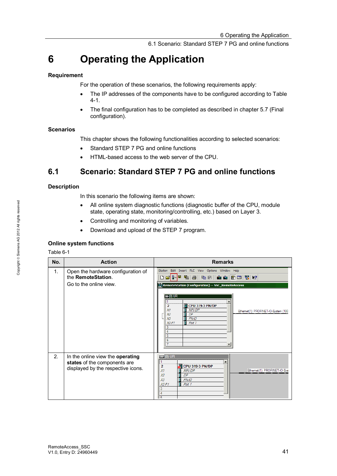6.1 Scenario: Standard STEP 7 PG and online functions

# **6 Operating the Application**

#### **Requirement**

<span id="page-40-0"></span>For the operation of these scenarios, the following requirements apply:

- The IP addresses of the components have to be configured according to Table [4-1.](#page-17-1)
- The final configuration has to be completed as described in chapter 5.7 (Final [configuration\)](#page-39-0).

#### **Scenarios**

This chapter shows the following functionalities according to selected scenarios:

- Standard STEP 7 PG and online functions
- <span id="page-40-1"></span>HTML-based access to the web server of the CPU.

# **6.1 Scenario: Standard STEP 7 PG and online functions**

#### **Description**

In this scenario the following items are shown:

- All online system diagnostic functions (diagnostic buffer of the CPU, module state, operating state, monitoring/controlling, etc.) based on Layer 3.
- Controlling and monitoring of variables.
- Download and upload of the STEP 7 program.

#### **Online system functions**

| No. | <b>Action</b>                                                                                          | <b>Remarks</b>                                                                                                                                                                                                                                                                                                                                     |
|-----|--------------------------------------------------------------------------------------------------------|----------------------------------------------------------------------------------------------------------------------------------------------------------------------------------------------------------------------------------------------------------------------------------------------------------------------------------------------------|
| 1.  | Open the hardware configuration of<br>the RemoteStation.<br>Go to the online view.                     | Station Edit Insert PLC View Options Window Help<br>D 2 3 5 5 4 5 5 6 6 5 6 7 6 7 8 7 8<br><b>N</b> RemoteStation (Configuration) -- SSC_RemoteAccess<br>$\equiv$ (0) UR<br><b>CPU 319-3 PN/DP</b><br>$\overline{2}$<br><b>MPI/DP</b><br>X1<br>Ethemet(1): PROFINET-IO-System (100<br>Х2<br><b>DP</b><br>X3<br>$PN-IO$<br>Port 1<br>X3P1<br>5<br>6 |
| 2.  | In the online view the operating<br>states of the components are<br>displayed by the respective icons. | $\equiv$ (0) UR<br><b>CPU 319-3 PN/DP</b><br>$\overline{2}$<br>Ethemet(1): PROFINET-IO-Sys<br>X <sub>1</sub><br><i>MPVDP</i><br>DP<br>$\chi_2$<br>X3<br>PN-IO<br>X3P1<br>Port 1<br>3<br>$\overline{5}$                                                                                                                                             |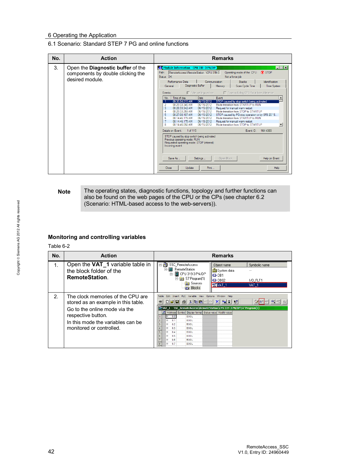#### 6 Operating the Application

#### 6.1 Scenario: Standard STEP 7 PG and online functions

| No. | <b>Action</b>                                                                 | <b>Remarks</b>                                                                                                                                                                  |
|-----|-------------------------------------------------------------------------------|---------------------------------------------------------------------------------------------------------------------------------------------------------------------------------|
| 3.  | Open the <b>Diagnostic buffer</b> of the<br>components by double clicking the | <b>EDIX</b><br>Module Information - CPU 319 - 3 PN/DP<br>Operating mode of the CPU: (2) STOP<br>RemoteAccess\RemoteStation \CPU 319-3<br>Path:<br>Status: OK<br>Not a force job |
|     | desired module.                                                               | Performance Data<br>Identification<br>Communication<br><b>Stacks</b>                                                                                                            |
|     |                                                                               | Diagnostic Buffer<br>Scan Cycle Time<br>General<br>Memory<br>Time System                                                                                                        |
|     |                                                                               | $\Box$ Filter settings active<br>Events:<br>Time including CPU/local time difference                                                                                            |
|     |                                                                               | Date<br>Event<br>No.<br>Time of day                                                                                                                                             |
|     |                                                                               | 09:35:54 015 AM<br>06/15/2012<br>STOP caused by stop switch being activated<br>08:28:33.346 AM<br>06/15/2012<br>Mode transition from STARTUP to RUN<br>2                        |
|     |                                                                               | 3<br>08:28:33.342 AM<br>06/15/2012<br>Request for manual warm restart                                                                                                           |
|     |                                                                               | 4<br>Mode transition from STOP to STARTUP<br>08:28:33.259 AM<br>06/15/2012<br>5<br>08:27:08.107 AM<br>06/15/2012<br>STOP caused by PG stop operation or by SFB 20 "S            |
|     |                                                                               | 6<br>06/15/2012<br>08:14:46.179 AM<br>Mode transition from STARTUP to RUN<br>08:14:46 175 AM                                                                                    |
|     |                                                                               | 06/15/2012<br>Request for manual warm restart<br>8<br>08:14:46.092 AM<br>06/15/2012<br>Mode transition from STOP to STARTUP<br>$\blacktriangledown$                             |
|     |                                                                               | 16#4303<br>Details on Event:<br>1 of 115<br>Event ID:                                                                                                                           |
|     |                                                                               | STOP caused by stop switch being activated<br>Previous operating mode: RUN<br>Requested operating mode: STOP (internal)<br>Incoming event                                       |
|     |                                                                               | <b>Open Block</b><br>Help on Event<br>Save As<br>Settings                                                                                                                       |
|     |                                                                               | Print<br>Update<br>Help<br>Close                                                                                                                                                |

#### **Note** The operating states, diagnostic functions, topology and further functions can also be found on the web pages of the CPU or the CPs (see chapter [6.2](#page-43-0)  ([Scenario: HTML-based access to the web-servers\)](#page-43-0)).

#### **Monitoring and controlling variables**

| No. | <b>Action</b>                                                                                                                                                                                    | <b>Remarks</b>                                                                                                                                                                                                                                                                                                                                                                                                                                                                                                                                                                                                                                                                                                                                                                                                                                                                                                                                                                                                                                          |  |  |
|-----|--------------------------------------------------------------------------------------------------------------------------------------------------------------------------------------------------|---------------------------------------------------------------------------------------------------------------------------------------------------------------------------------------------------------------------------------------------------------------------------------------------------------------------------------------------------------------------------------------------------------------------------------------------------------------------------------------------------------------------------------------------------------------------------------------------------------------------------------------------------------------------------------------------------------------------------------------------------------------------------------------------------------------------------------------------------------------------------------------------------------------------------------------------------------------------------------------------------------------------------------------------------------|--|--|
| 1.  | Open the VAT_1 variable table in<br>the block folder of the<br><b>RemoteStation.</b>                                                                                                             | SSC_RemoteAccess<br>E<br>Object name<br>Symbolic name<br>RemoteStation<br>System data<br>CPU 319-3 PN/DP<br><b>E</b> 081<br>S7 S7 Program(1)<br>$\bigoplus$ OB82<br>I/O FLT1<br><b>B</b> Sources<br><b>MEVAT 1</b><br>VAT 1<br><b>D</b> Blocks                                                                                                                                                                                                                                                                                                                                                                                                                                                                                                                                                                                                                                                                                                                                                                                                          |  |  |
| 2.  | The clock memories of the CPU are<br>stored as an example in this table.<br>Go to the online mode via the<br>respective button.<br>In this mode the variables can be<br>monitored or controlled. | Options Window Help<br>Table<br>Edit<br>PLC<br>Variable<br>Insert<br><b>View</b><br>$\Box \left[ \begin{array}{c c} \mathbf{C} & \mathbf{C} \end{array} \right] \left[ \begin{array}{c c} \mathbf{B} & \mathbf{B} \end{array} \right] \left[ \begin{array}{c c} \mathbf{B} & \mathbf{B} \end{array} \right] \left[ \begin{array}{c c} \mathbf{A} & \mathbf{C} \end{array} \right] \left[ \begin{array}{c c} \mathbf{A} & \mathbf{C} \end{array} \right] \left[ \begin{array}{c c} \mathbf{A} & \mathbf{C} \end{array} \right] \left[ \begin{array}{c c} \mathbf{A} & \$<br>$ \mathbf{X}  =  \mathbf{S}   \mathbf{M} $<br>$ 60^{\circ} $<br>制<br>Address Symbol Display format Status value Modify value<br>≏<br><b>BOOL</b><br>0.0<br>$\begin{array}{ c c c }\n\hline\n2 & 3 & 4 \\ \hline\n4 & 5 & 6 \\ \hline\n7 & & & \\ \hline\n\end{array}$<br>м<br>0.1<br><b>BOOL</b><br>0.2<br><b>BOOL</b><br>0.3<br><b>BOOL</b><br>0.4<br><b>BOOL</b><br>0.5<br><b>BOOL</b><br>0.6<br><b>BOOL</b><br>$\overline{\overline{\overline{8}}}$<br>0.7<br><b>BOOL</b> |  |  |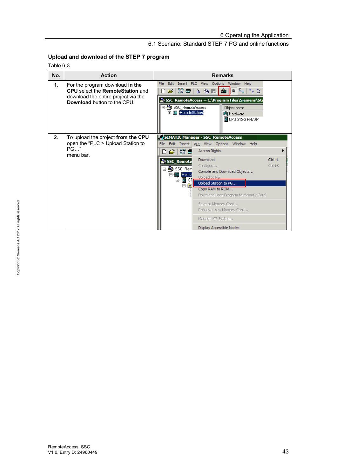## 6.1 Scenario: Standard STEP 7 PG and online functions

## **Upload and download of the STEP 7 program**

| No. | <b>Action</b>                                                                                                                                                  | <b>Remarks</b>                                                                                                                                                                                                                                                                                                                                                                                                                                                                                              |
|-----|----------------------------------------------------------------------------------------------------------------------------------------------------------------|-------------------------------------------------------------------------------------------------------------------------------------------------------------------------------------------------------------------------------------------------------------------------------------------------------------------------------------------------------------------------------------------------------------------------------------------------------------------------------------------------------------|
| 1.  | For the program download in the<br><b>CPU</b> select the <b>RemoteStation</b> and<br>download the entire project via the<br><b>Download</b> button to the CPU. | File Edit Insert PLC View Options Window Help<br>圆窗 闇霊∥<br>o <sup>o</sup> m<br>人名尼<br>rän,<br>SSC_RemoteAccess -- C:\Program Files\Siemens\Ste<br>日 20 SSC_RemoteAccess<br>Object name<br>E- <b>WI</b> RemoteStation<br><b>DU</b> Hardware<br>CPU 319-3 PN/DP                                                                                                                                                                                                                                               |
| 2.  | To upload the project from the CPU<br>open the "PLC > Upload Station to<br><b>PG</b> "<br>menu bar.                                                            | SIMATIC Manager - SSC_RemoteAccess<br>Edit Insert PLC View Options Window Help<br>File<br><b>Access Rights</b><br>$\mathfrak{S}$ of $\mathbb{R}^n$<br>O<br>Download<br>$Ctrl + L$<br>SSC_Remote<br>Configure<br>$Ctr$ $+K$<br>⊟ <b>AD</b> SSC_Rem<br>Compile and Download Objects<br>Remo<br>淵<br>Upload to PG<br>Upload Station to PG<br>57<br>Copy RAM to ROM<br>Download User Program to Memory Card<br>Save to Memory Card<br>Retrieve from Memory Card<br>Manage M7 System<br>Display Accessible Nodes |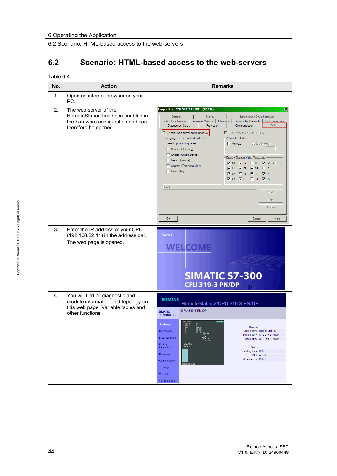6.2 Scenario: HTML-based access to the web-servers

# <span id="page-43-0"></span>**6.2 Scenario: HTML-based access to the web-servers**

| No.            | <b>Action</b>                                                                                                                    | <b>Remarks</b>                                                                                                                                                                                                                                                                                                                                                                                                                                                                                                                                                                                                                                                                                                                                                                                                                                                                                                                                  |
|----------------|----------------------------------------------------------------------------------------------------------------------------------|-------------------------------------------------------------------------------------------------------------------------------------------------------------------------------------------------------------------------------------------------------------------------------------------------------------------------------------------------------------------------------------------------------------------------------------------------------------------------------------------------------------------------------------------------------------------------------------------------------------------------------------------------------------------------------------------------------------------------------------------------------------------------------------------------------------------------------------------------------------------------------------------------------------------------------------------------|
| $\mathbf{1}$ . | Open an internet browser on your<br>PC.                                                                                          |                                                                                                                                                                                                                                                                                                                                                                                                                                                                                                                                                                                                                                                                                                                                                                                                                                                                                                                                                 |
| 2.             | The web server of the<br>RemoteStation has been enabled in<br>the hardware configuration and can<br>therefore be opened.         | Properties - CPU 319-3 PN/DP - (R0/S2)<br>$\vert x \vert$<br>General<br>Synchronous Cycle Interrupts<br>Startup<br>Cycle/Clock Memory   Retentive Memory   Interrupts   Time-of-Day Interrupts  <br>Cyclic Interrupts<br>Web<br>Diagnostics/Clock<br>Protection<br>Communication<br>M Enable Web server on this module<br>Allow access only via HTTPS<br>Languages to be Loaded on the CPU<br>Automatic Update<br>Select up to 2 languages:<br>$\Box$ Activate<br>Update interval:<br>Geman (Gemany)<br><b>V</b> English (United States)<br>Display Classes of the Messages<br>French (France)<br>$\nabla$ 00 $\nabla$ 04 $\nabla$ 08 $\nabla$ 12 $\nabla$ 16<br>Spanish (Traditional Sort)<br>$\nabla$ 01 $\nabla$ 05 $\nabla$ 09 $\nabla$ 13<br>$\Box$ Italian (Italy)<br>$\nabla$ 02 $\nabla$ 06 $\nabla$ 10 $\nabla$ 14<br>$\nabla$ 03 $\nabla$ 07 $\nabla$ 11 $\nabla$ 15<br>User list:<br>Add.<br>Edit.<br>Delete<br>OK<br>Cancel<br>Help |
| 3.             | Enter the IP address of your CPU<br>(192.168.22.11) in the address bar.<br>The web page is opened.                               | ENTER A<br><b>WELCOME</b><br><b>SIEMEN</b><br><b>SIMATIC S7-300</b><br><b>CPU 319-3 PN/DP</b>                                                                                                                                                                                                                                                                                                                                                                                                                                                                                                                                                                                                                                                                                                                                                                                                                                                   |
| 4.             | You will find all diagnostic and<br>module information and topology on<br>this web page. Variable tables and<br>other functions. | <b>SIEMENS</b><br>RemoteStation2/CPU 319-3 PN/DP<br><b>CPU 319-3 PN/DP</b><br><b>SIMATIC</b><br><b>CONTROLLER</b><br><b>Start page</b><br>General:<br>DC5<br>Identification<br>Station name: RemoteStation2<br>Module name: CPU 319-3 PN/DF<br>Diagnostic Buffer<br><b>T</b><br>STOP<br>MRES<br>Module type: CPU 319-3 PN/DP<br>SIMATIC<br>S7-300<br>Module<br>information<br>Status:<br>Operating Mode: RUN<br>$M$ essages<br>Status: OK<br>Mode selector: RUN<br>▶ Communication<br>318-3EL00-0AB0<br>▶ Topology<br>Tag status<br>▶ Variable tables                                                                                                                                                                                                                                                                                                                                                                                           |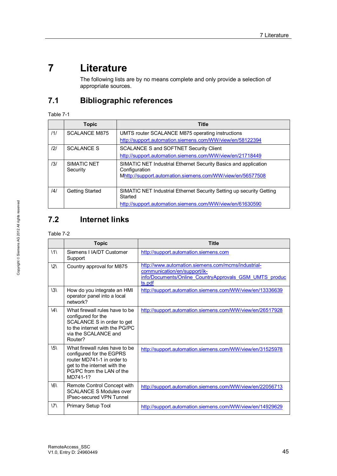# **7 Literature**

<span id="page-44-1"></span><span id="page-44-0"></span>The following lists are by no means complete and only provide a selection of appropriate sources.

# **7.1 Bibliographic references**

Table 7-1

|     | <b>Topic</b>            | <b>Title</b>                                                                                                                                   |
|-----|-------------------------|------------------------------------------------------------------------------------------------------------------------------------------------|
| 111 | <b>SCALANCE M875</b>    | UMTS router SCALANCE M875 operating instructions                                                                                               |
|     |                         | http://support.automation.siemens.com/WW/view/en/58122394                                                                                      |
| 121 | <b>SCALANCE S</b>       | <b>SCALANCE S and SOFTNET Security Client</b>                                                                                                  |
|     |                         | http://support.automation.siemens.com/WW/view/en/21718449                                                                                      |
| /3/ | SIMATIC NFT<br>Security | SIMATIC NET Industrial Ethernet Security Basics and application<br>Configuration<br>Mhttp://support.automation.siemens.com/WW/view/en/56577508 |
| 4   | <b>Getting Started</b>  | SIMATIC NET Industrial Ethernet Security Setting up security Getting<br>Started<br>http://support.automation.siemens.com/WW/view/en/61630590   |

# <span id="page-44-2"></span>**7.2 Internet links**

|                     | <b>Topic</b>                                                                                                                                                      | <b>Title</b>                                                                                                                                           |
|---------------------|-------------------------------------------------------------------------------------------------------------------------------------------------------------------|--------------------------------------------------------------------------------------------------------------------------------------------------------|
| $\backslash$ 1      | Siemens I IA/DT Customer<br>Support                                                                                                                               | http://support.automation.siemens.com                                                                                                                  |
| $\langle 2 \rangle$ | Country approval for M875                                                                                                                                         | http://www.automation.siemens.com/mcms/industrial-<br>communication/en/support/ik-<br>info/Documents/Online CountryApprovals GSM UMTS produc<br>ts.pdf |
| $\frac{3}{3}$       | How do you integrate an HMI<br>operator panel into a local<br>network?                                                                                            | http://support.automation.siemens.com/WW/view/en/13336639                                                                                              |
| $\langle 4 \rangle$ | What firewall rules have to be<br>configured for the<br>SCALANCE S in order to get<br>to the internet with the PG/PC<br>via the SCALANCE and<br>Router?           | http://support.automation.siemens.com/WW/view/en/26517928                                                                                              |
| $\sqrt{5}$          | What firewall rules have to be<br>configured for the EGPRS<br>router MD741-1 in order to<br>get to the internet with the<br>PG/PC from the LAN of the<br>MD741-1? | http://support.automation.siemens.com/WW/view/en/31525978                                                                                              |
| $\sqrt{6}$          | Remote Control Concept with<br><b>SCALANCE S Modules over</b><br><b>IPsec-secured VPN Tunnel</b>                                                                  | http://support.automation.siemens.com/WW/view/en/22056713                                                                                              |
| $\sqrt{7}$          | <b>Primary Setup Tool</b>                                                                                                                                         | http://support.automation.siemens.com/WW/view/en/14929629                                                                                              |